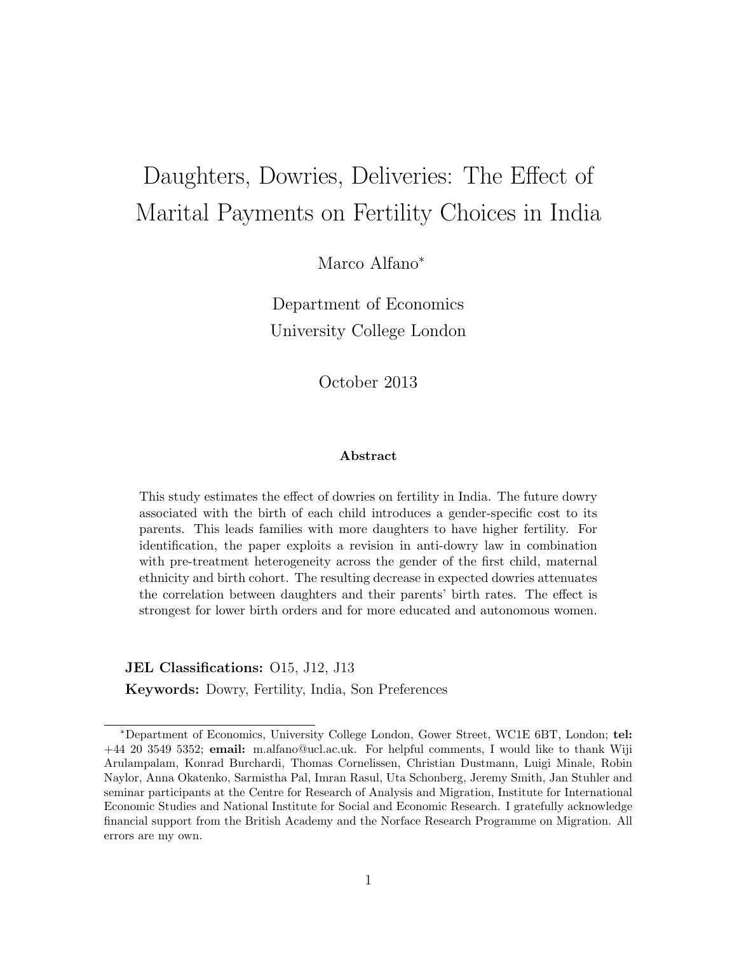# Daughters, Dowries, Deliveries: The Effect of Marital Payments on Fertility Choices in India

Marco Alfano<sup>\*</sup>

Department of Economics University College London

October 2013

#### Abstract

This study estimates the effect of dowries on fertility in India. The future dowry associated with the birth of each child introduces a gender-specific cost to its parents. This leads families with more daughters to have higher fertility. For identification, the paper exploits a revision in anti-dowry law in combination with pre-treatment heterogeneity across the gender of the first child, maternal ethnicity and birth cohort. The resulting decrease in expected dowries attenuates the correlation between daughters and their parents' birth rates. The effect is strongest for lower birth orders and for more educated and autonomous women.

JEL Classifications: O15, J12, J13

Keywords: Dowry, Fertility, India, Son Preferences

<sup>⇤</sup>Department of Economics, University College London, Gower Street, WC1E 6BT, London; tel: +44 20 3549 5352; email: m.alfano@ucl.ac.uk. For helpful comments, I would like to thank Wiji Arulampalam, Konrad Burchardi, Thomas Cornelissen, Christian Dustmann, Luigi Minale, Robin Naylor, Anna Okatenko, Sarmistha Pal, Imran Rasul, Uta Schonberg, Jeremy Smith, Jan Stuhler and seminar participants at the Centre for Research of Analysis and Migration, Institute for International Economic Studies and National Institute for Social and Economic Research. I gratefully acknowledge financial support from the British Academy and the Norface Research Programme on Migration. All errors are my own.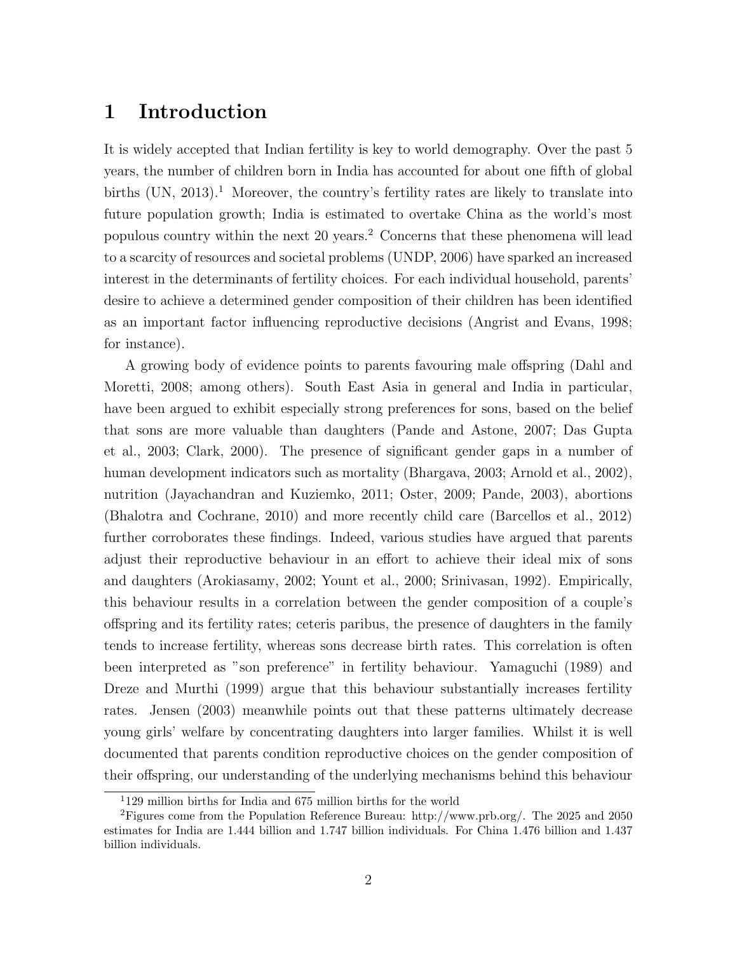# 1 Introduction

It is widely accepted that Indian fertility is key to world demography. Over the past 5 years, the number of children born in India has accounted for about one fifth of global births  $(UN, 2013).<sup>1</sup>$  Moreover, the country's fertility rates are likely to translate into future population growth; India is estimated to overtake China as the world's most populous country within the next 20 years.<sup>2</sup> Concerns that these phenomena will lead to a scarcity of resources and societal problems (UNDP, 2006) have sparked an increased interest in the determinants of fertility choices. For each individual household, parents' desire to achieve a determined gender composition of their children has been identified as an important factor influencing reproductive decisions (Angrist and Evans, 1998; for instance).

A growing body of evidence points to parents favouring male offspring (Dahl and Moretti, 2008; among others). South East Asia in general and India in particular, have been argued to exhibit especially strong preferences for sons, based on the belief that sons are more valuable than daughters (Pande and Astone, 2007; Das Gupta et al., 2003; Clark, 2000). The presence of significant gender gaps in a number of human development indicators such as mortality (Bhargava, 2003; Arnold et al., 2002), nutrition (Jayachandran and Kuziemko, 2011; Oster, 2009; Pande, 2003), abortions (Bhalotra and Cochrane, 2010) and more recently child care (Barcellos et al., 2012) further corroborates these findings. Indeed, various studies have argued that parents adjust their reproductive behaviour in an effort to achieve their ideal mix of sons and daughters (Arokiasamy, 2002; Yount et al., 2000; Srinivasan, 1992). Empirically, this behaviour results in a correlation between the gender composition of a couple's o↵spring and its fertility rates; ceteris paribus, the presence of daughters in the family tends to increase fertility, whereas sons decrease birth rates. This correlation is often been interpreted as "son preference" in fertility behaviour. Yamaguchi (1989) and Dreze and Murthi (1999) argue that this behaviour substantially increases fertility rates. Jensen (2003) meanwhile points out that these patterns ultimately decrease young girls' welfare by concentrating daughters into larger families. Whilst it is well documented that parents condition reproductive choices on the gender composition of their offspring, our understanding of the underlying mechanisms behind this behaviour

<sup>1</sup>129 million births for India and 675 million births for the world

<sup>2</sup>Figures come from the Population Reference Bureau: http://www.prb.org/. The 2025 and 2050 estimates for India are 1.444 billion and 1.747 billion individuals. For China 1.476 billion and 1.437 billion individuals.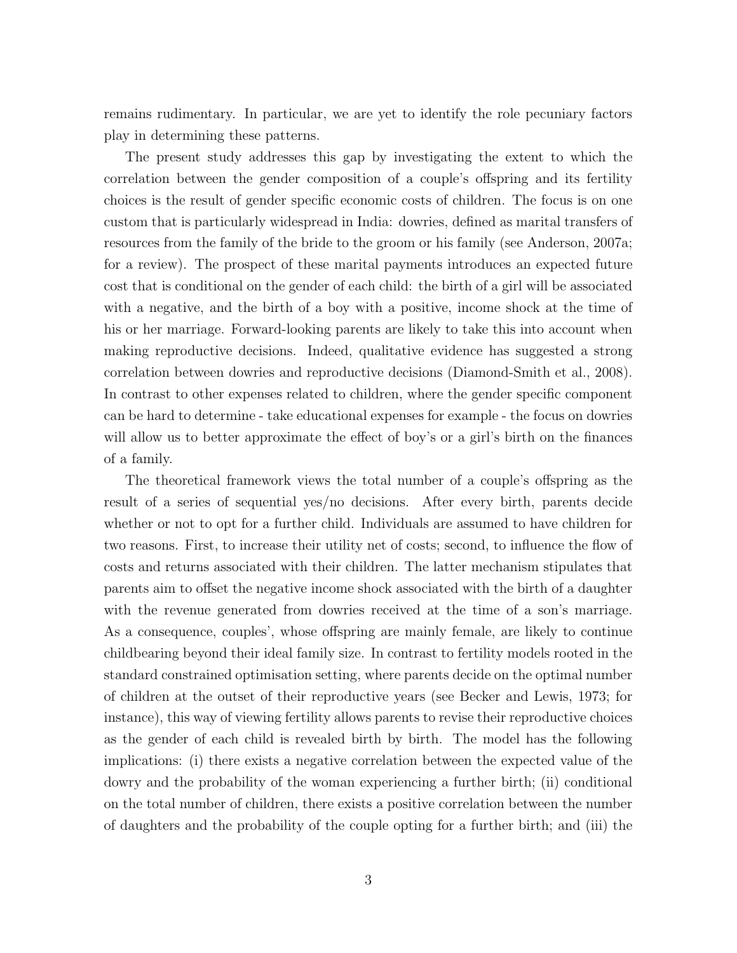remains rudimentary. In particular, we are yet to identify the role pecuniary factors play in determining these patterns.

The present study addresses this gap by investigating the extent to which the correlation between the gender composition of a couple's offspring and its fertility choices is the result of gender specific economic costs of children. The focus is on one custom that is particularly widespread in India: dowries, defined as marital transfers of resources from the family of the bride to the groom or his family (see Anderson, 2007a; for a review). The prospect of these marital payments introduces an expected future cost that is conditional on the gender of each child: the birth of a girl will be associated with a negative, and the birth of a boy with a positive, income shock at the time of his or her marriage. Forward-looking parents are likely to take this into account when making reproductive decisions. Indeed, qualitative evidence has suggested a strong correlation between dowries and reproductive decisions (Diamond-Smith et al., 2008). In contrast to other expenses related to children, where the gender specific component can be hard to determine - take educational expenses for example - the focus on dowries will allow us to better approximate the effect of boy's or a girl's birth on the finances of a family.

The theoretical framework views the total number of a couple's offspring as the result of a series of sequential yes/no decisions. After every birth, parents decide whether or not to opt for a further child. Individuals are assumed to have children for two reasons. First, to increase their utility net of costs; second, to influence the flow of costs and returns associated with their children. The latter mechanism stipulates that parents aim to offset the negative income shock associated with the birth of a daughter with the revenue generated from dowries received at the time of a son's marriage. As a consequence, couples', whose offspring are mainly female, are likely to continue childbearing beyond their ideal family size. In contrast to fertility models rooted in the standard constrained optimisation setting, where parents decide on the optimal number of children at the outset of their reproductive years (see Becker and Lewis, 1973; for instance), this way of viewing fertility allows parents to revise their reproductive choices as the gender of each child is revealed birth by birth. The model has the following implications: (i) there exists a negative correlation between the expected value of the dowry and the probability of the woman experiencing a further birth; (ii) conditional on the total number of children, there exists a positive correlation between the number of daughters and the probability of the couple opting for a further birth; and (iii) the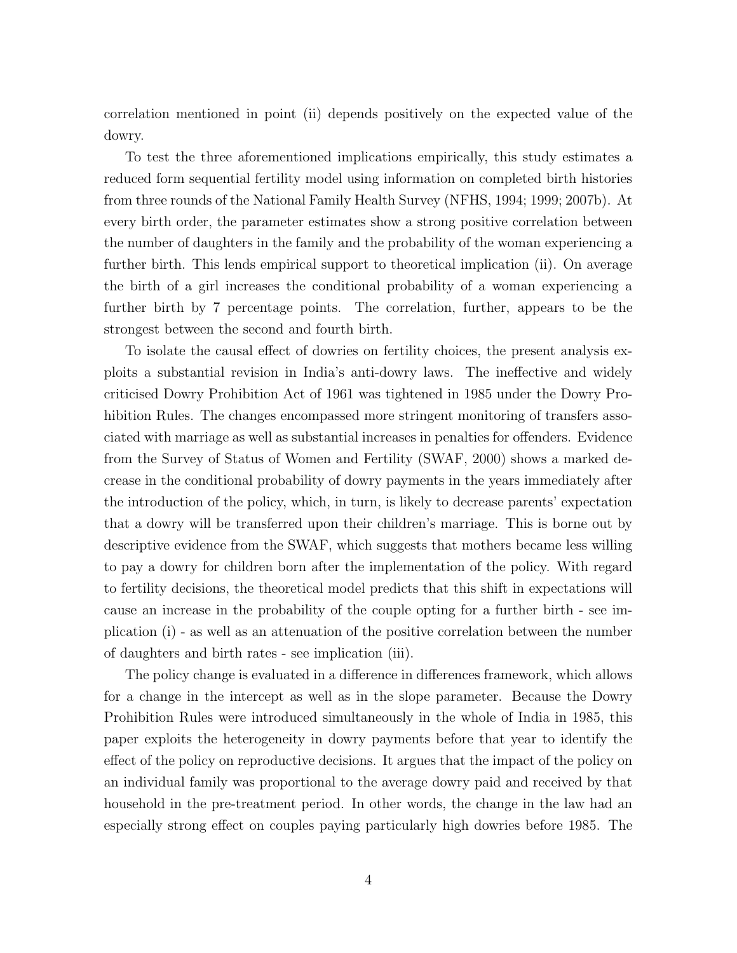correlation mentioned in point (ii) depends positively on the expected value of the dowry.

To test the three aforementioned implications empirically, this study estimates a reduced form sequential fertility model using information on completed birth histories from three rounds of the National Family Health Survey (NFHS, 1994; 1999; 2007b). At every birth order, the parameter estimates show a strong positive correlation between the number of daughters in the family and the probability of the woman experiencing a further birth. This lends empirical support to theoretical implication (ii). On average the birth of a girl increases the conditional probability of a woman experiencing a further birth by 7 percentage points. The correlation, further, appears to be the strongest between the second and fourth birth.

To isolate the causal effect of dowries on fertility choices, the present analysis exploits a substantial revision in India's anti-dowry laws. The ineffective and widely criticised Dowry Prohibition Act of 1961 was tightened in 1985 under the Dowry Prohibition Rules. The changes encompassed more stringent monitoring of transfers associated with marriage as well as substantial increases in penalties for offenders. Evidence from the Survey of Status of Women and Fertility (SWAF, 2000) shows a marked decrease in the conditional probability of dowry payments in the years immediately after the introduction of the policy, which, in turn, is likely to decrease parents' expectation that a dowry will be transferred upon their children's marriage. This is borne out by descriptive evidence from the SWAF, which suggests that mothers became less willing to pay a dowry for children born after the implementation of the policy. With regard to fertility decisions, the theoretical model predicts that this shift in expectations will cause an increase in the probability of the couple opting for a further birth - see implication (i) - as well as an attenuation of the positive correlation between the number of daughters and birth rates - see implication (iii).

The policy change is evaluated in a difference in differences framework, which allows for a change in the intercept as well as in the slope parameter. Because the Dowry Prohibition Rules were introduced simultaneously in the whole of India in 1985, this paper exploits the heterogeneity in dowry payments before that year to identify the effect of the policy on reproductive decisions. It argues that the impact of the policy on an individual family was proportional to the average dowry paid and received by that household in the pre-treatment period. In other words, the change in the law had an especially strong effect on couples paying particularly high dowries before 1985. The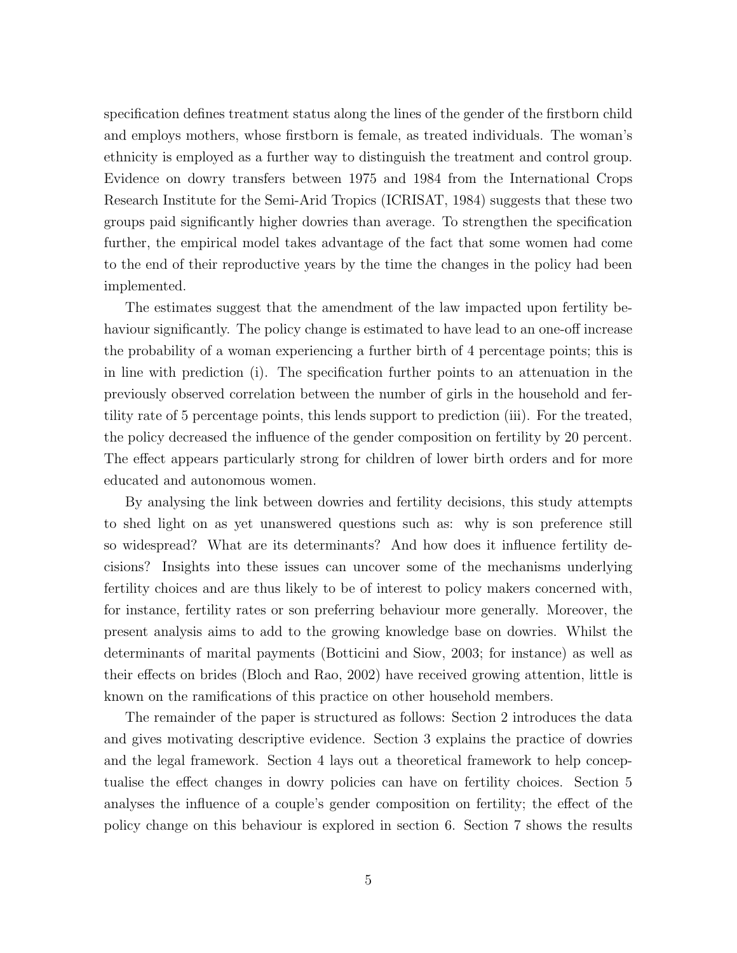specification defines treatment status along the lines of the gender of the firstborn child and employs mothers, whose firstborn is female, as treated individuals. The woman's ethnicity is employed as a further way to distinguish the treatment and control group. Evidence on dowry transfers between 1975 and 1984 from the International Crops Research Institute for the Semi-Arid Tropics (ICRISAT, 1984) suggests that these two groups paid significantly higher dowries than average. To strengthen the specification further, the empirical model takes advantage of the fact that some women had come to the end of their reproductive years by the time the changes in the policy had been implemented.

The estimates suggest that the amendment of the law impacted upon fertility behaviour significantly. The policy change is estimated to have lead to an one-off increase the probability of a woman experiencing a further birth of 4 percentage points; this is in line with prediction (i). The specification further points to an attenuation in the previously observed correlation between the number of girls in the household and fertility rate of 5 percentage points, this lends support to prediction (iii). For the treated, the policy decreased the influence of the gender composition on fertility by 20 percent. The effect appears particularly strong for children of lower birth orders and for more educated and autonomous women.

By analysing the link between dowries and fertility decisions, this study attempts to shed light on as yet unanswered questions such as: why is son preference still so widespread? What are its determinants? And how does it influence fertility decisions? Insights into these issues can uncover some of the mechanisms underlying fertility choices and are thus likely to be of interest to policy makers concerned with, for instance, fertility rates or son preferring behaviour more generally. Moreover, the present analysis aims to add to the growing knowledge base on dowries. Whilst the determinants of marital payments (Botticini and Siow, 2003; for instance) as well as their effects on brides (Bloch and Rao, 2002) have received growing attention, little is known on the ramifications of this practice on other household members.

The remainder of the paper is structured as follows: Section 2 introduces the data and gives motivating descriptive evidence. Section 3 explains the practice of dowries and the legal framework. Section 4 lays out a theoretical framework to help conceptualise the effect changes in dowry policies can have on fertility choices. Section 5 analyses the influence of a couple's gender composition on fertility; the effect of the policy change on this behaviour is explored in section 6. Section 7 shows the results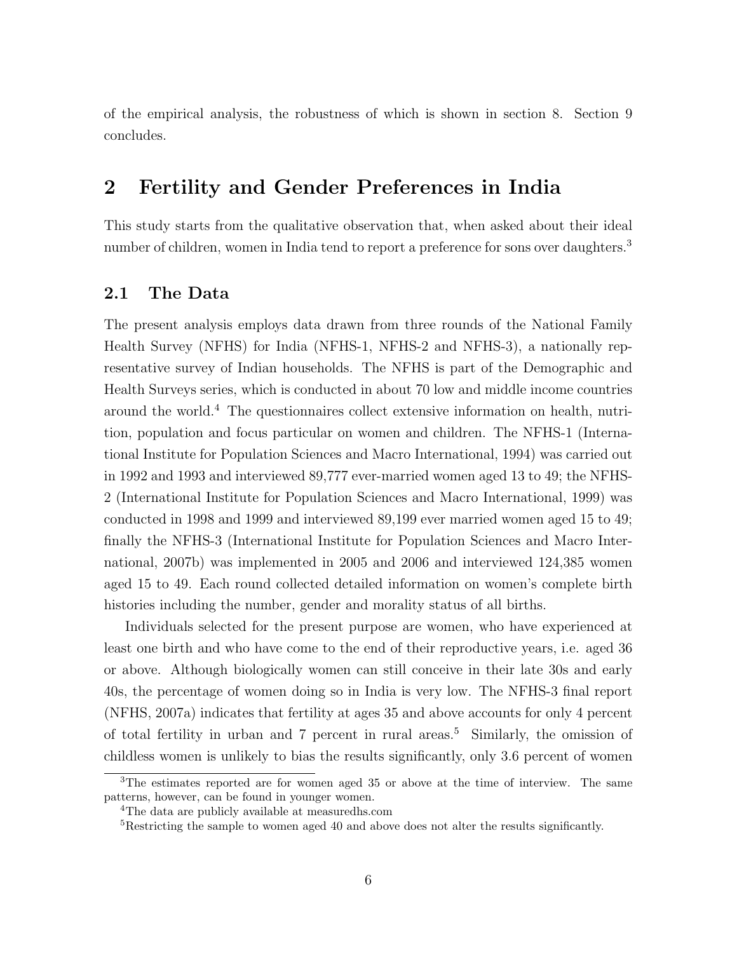of the empirical analysis, the robustness of which is shown in section 8. Section 9 concludes.

# 2 Fertility and Gender Preferences in India

This study starts from the qualitative observation that, when asked about their ideal number of children, women in India tend to report a preference for sons over daughters.<sup>3</sup>

# 2.1 The Data

The present analysis employs data drawn from three rounds of the National Family Health Survey (NFHS) for India (NFHS-1, NFHS-2 and NFHS-3), a nationally representative survey of Indian households. The NFHS is part of the Demographic and Health Surveys series, which is conducted in about 70 low and middle income countries around the world.<sup>4</sup> The questionnaires collect extensive information on health, nutrition, population and focus particular on women and children. The NFHS-1 (International Institute for Population Sciences and Macro International, 1994) was carried out in 1992 and 1993 and interviewed 89,777 ever-married women aged 13 to 49; the NFHS-2 (International Institute for Population Sciences and Macro International, 1999) was conducted in 1998 and 1999 and interviewed 89,199 ever married women aged 15 to 49; finally the NFHS-3 (International Institute for Population Sciences and Macro International, 2007b) was implemented in 2005 and 2006 and interviewed 124,385 women aged 15 to 49. Each round collected detailed information on women's complete birth histories including the number, gender and morality status of all births.

Individuals selected for the present purpose are women, who have experienced at least one birth and who have come to the end of their reproductive years, i.e. aged 36 or above. Although biologically women can still conceive in their late 30s and early 40s, the percentage of women doing so in India is very low. The NFHS-3 final report (NFHS, 2007a) indicates that fertility at ages 35 and above accounts for only 4 percent of total fertility in urban and  $7$  percent in rural areas.<sup>5</sup> Similarly, the omission of childless women is unlikely to bias the results significantly, only 3.6 percent of women

<sup>3</sup>The estimates reported are for women aged 35 or above at the time of interview. The same patterns, however, can be found in younger women.

<sup>4</sup>The data are publicly available at measuredhs.com

<sup>5</sup>Restricting the sample to women aged 40 and above does not alter the results significantly.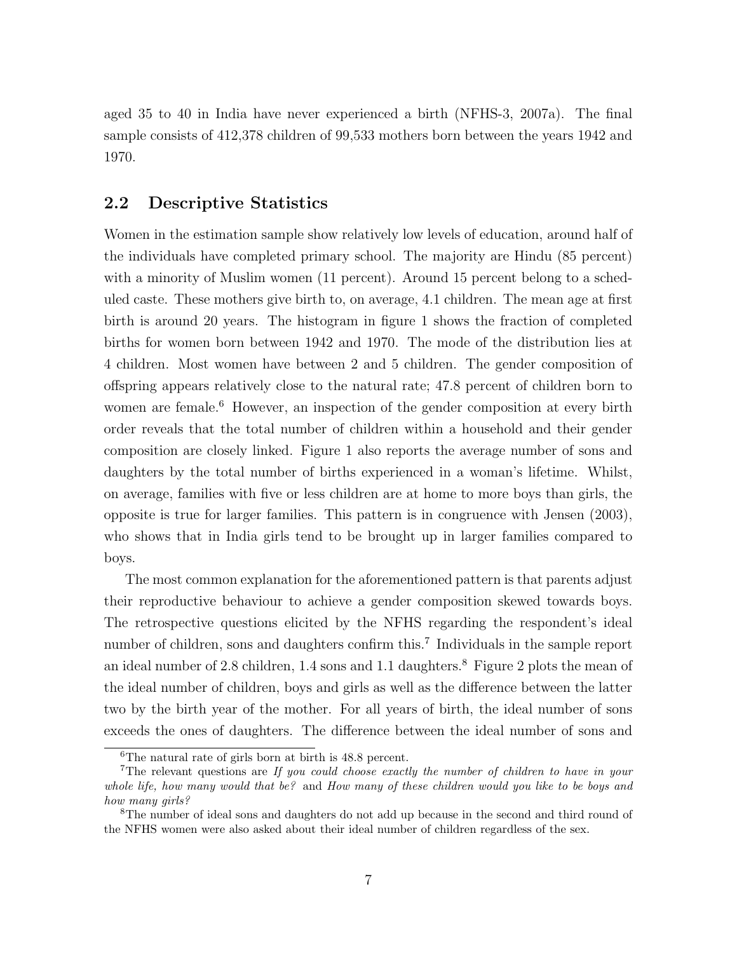aged 35 to 40 in India have never experienced a birth (NFHS-3, 2007a). The final sample consists of 412,378 children of 99,533 mothers born between the years 1942 and 1970.

### 2.2 Descriptive Statistics

Women in the estimation sample show relatively low levels of education, around half of the individuals have completed primary school. The majority are Hindu (85 percent) with a minority of Muslim women (11 percent). Around 15 percent belong to a scheduled caste. These mothers give birth to, on average, 4.1 children. The mean age at first birth is around 20 years. The histogram in figure 1 shows the fraction of completed births for women born between 1942 and 1970. The mode of the distribution lies at 4 children. Most women have between 2 and 5 children. The gender composition of offspring appears relatively close to the natural rate; 47.8 percent of children born to women are female.<sup>6</sup> However, an inspection of the gender composition at every birth order reveals that the total number of children within a household and their gender composition are closely linked. Figure 1 also reports the average number of sons and daughters by the total number of births experienced in a woman's lifetime. Whilst, on average, families with five or less children are at home to more boys than girls, the opposite is true for larger families. This pattern is in congruence with Jensen (2003), who shows that in India girls tend to be brought up in larger families compared to boys.

The most common explanation for the aforementioned pattern is that parents adjust their reproductive behaviour to achieve a gender composition skewed towards boys. The retrospective questions elicited by the NFHS regarding the respondent's ideal number of children, sons and daughters confirm this.<sup>7</sup> Individuals in the sample report an ideal number of 2.8 children, 1.4 sons and 1.1 daughters.<sup>8</sup> Figure 2 plots the mean of the ideal number of children, boys and girls as well as the difference between the latter two by the birth year of the mother. For all years of birth, the ideal number of sons exceeds the ones of daughters. The difference between the ideal number of sons and

<sup>6</sup>The natural rate of girls born at birth is 48.8 percent.

<sup>7</sup>The relevant questions are *If you could choose exactly the number of children to have in your whole life, how many would that be?* and *How many of these children would you like to be boys and how many girls?*

<sup>&</sup>lt;sup>8</sup>The number of ideal sons and daughters do not add up because in the second and third round of the NFHS women were also asked about their ideal number of children regardless of the sex.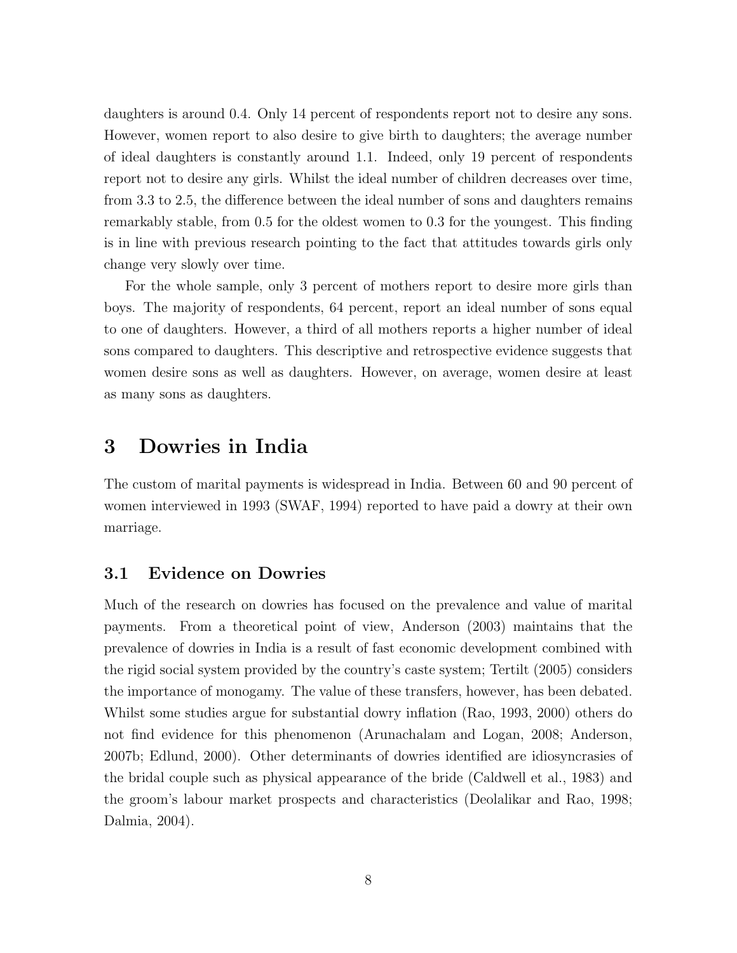daughters is around 0.4. Only 14 percent of respondents report not to desire any sons. However, women report to also desire to give birth to daughters; the average number of ideal daughters is constantly around 1.1. Indeed, only 19 percent of respondents report not to desire any girls. Whilst the ideal number of children decreases over time, from 3.3 to 2.5, the difference between the ideal number of sons and daughters remains remarkably stable, from 0.5 for the oldest women to 0.3 for the youngest. This finding is in line with previous research pointing to the fact that attitudes towards girls only change very slowly over time.

For the whole sample, only 3 percent of mothers report to desire more girls than boys. The majority of respondents, 64 percent, report an ideal number of sons equal to one of daughters. However, a third of all mothers reports a higher number of ideal sons compared to daughters. This descriptive and retrospective evidence suggests that women desire sons as well as daughters. However, on average, women desire at least as many sons as daughters.

# 3 Dowries in India

The custom of marital payments is widespread in India. Between 60 and 90 percent of women interviewed in 1993 (SWAF, 1994) reported to have paid a dowry at their own marriage.

# 3.1 Evidence on Dowries

Much of the research on dowries has focused on the prevalence and value of marital payments. From a theoretical point of view, Anderson (2003) maintains that the prevalence of dowries in India is a result of fast economic development combined with the rigid social system provided by the country's caste system; Tertilt (2005) considers the importance of monogamy. The value of these transfers, however, has been debated. Whilst some studies argue for substantial dowry inflation (Rao, 1993, 2000) others do not find evidence for this phenomenon (Arunachalam and Logan, 2008; Anderson, 2007b; Edlund, 2000). Other determinants of dowries identified are idiosyncrasies of the bridal couple such as physical appearance of the bride (Caldwell et al., 1983) and the groom's labour market prospects and characteristics (Deolalikar and Rao, 1998; Dalmia, 2004).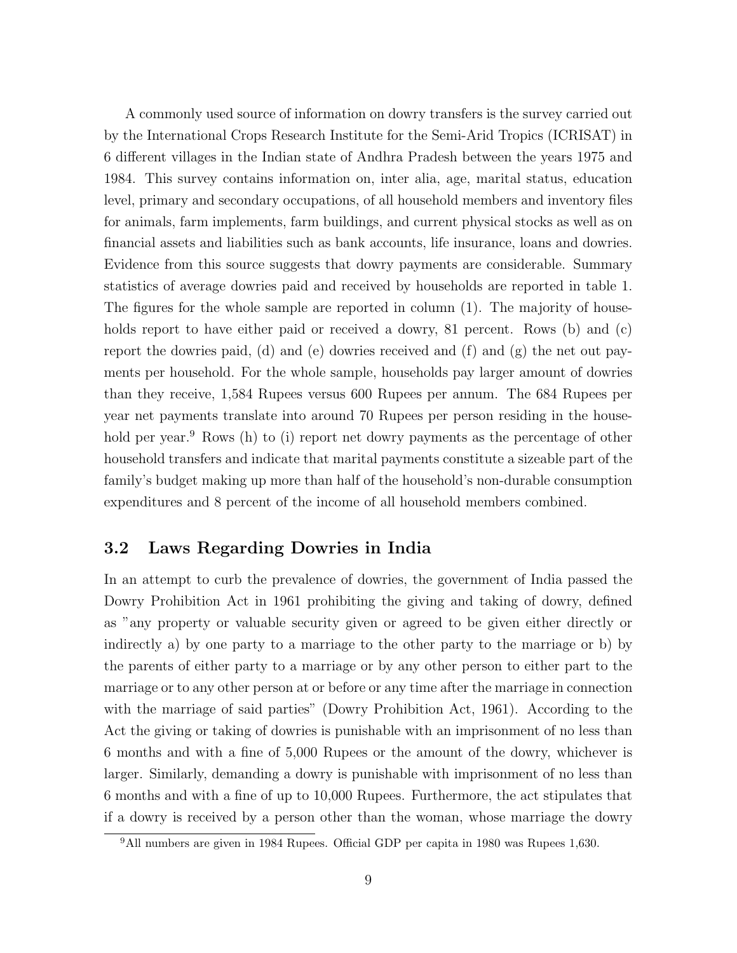A commonly used source of information on dowry transfers is the survey carried out by the International Crops Research Institute for the Semi-Arid Tropics (ICRISAT) in 6 different villages in the Indian state of Andhra Pradesh between the years 1975 and 1984. This survey contains information on, inter alia, age, marital status, education level, primary and secondary occupations, of all household members and inventory files for animals, farm implements, farm buildings, and current physical stocks as well as on financial assets and liabilities such as bank accounts, life insurance, loans and dowries. Evidence from this source suggests that dowry payments are considerable. Summary statistics of average dowries paid and received by households are reported in table 1. The figures for the whole sample are reported in column (1). The majority of households report to have either paid or received a dowry, 81 percent. Rows (b) and (c) report the dowries paid, (d) and (e) dowries received and (f) and (g) the net out payments per household. For the whole sample, households pay larger amount of dowries than they receive, 1,584 Rupees versus 600 Rupees per annum. The 684 Rupees per year net payments translate into around 70 Rupees per person residing in the household per year.<sup>9</sup> Rows (h) to (i) report net dowry payments as the percentage of other household transfers and indicate that marital payments constitute a sizeable part of the family's budget making up more than half of the household's non-durable consumption expenditures and 8 percent of the income of all household members combined.

# 3.2 Laws Regarding Dowries in India

In an attempt to curb the prevalence of dowries, the government of India passed the Dowry Prohibition Act in 1961 prohibiting the giving and taking of dowry, defined as "any property or valuable security given or agreed to be given either directly or indirectly a) by one party to a marriage to the other party to the marriage or b) by the parents of either party to a marriage or by any other person to either part to the marriage or to any other person at or before or any time after the marriage in connection with the marriage of said parties" (Dowry Prohibition Act, 1961). According to the Act the giving or taking of dowries is punishable with an imprisonment of no less than 6 months and with a fine of 5,000 Rupees or the amount of the dowry, whichever is larger. Similarly, demanding a dowry is punishable with imprisonment of no less than 6 months and with a fine of up to 10,000 Rupees. Furthermore, the act stipulates that if a dowry is received by a person other than the woman, whose marriage the dowry

 $9$ All numbers are given in 1984 Rupees. Official GDP per capita in 1980 was Rupees 1,630.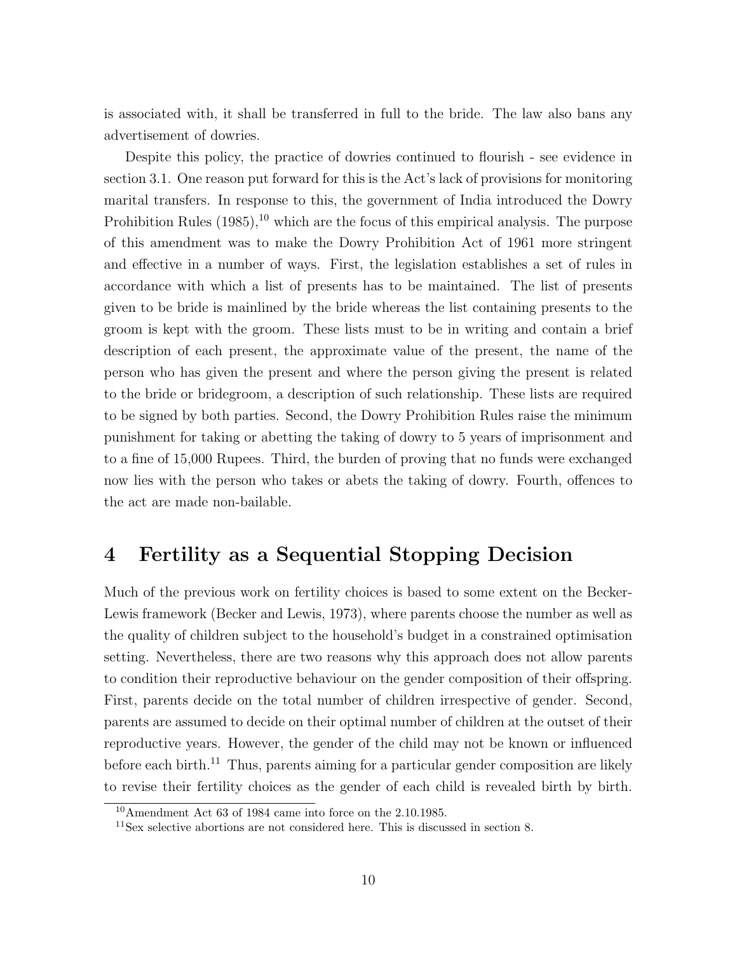is associated with, it shall be transferred in full to the bride. The law also bans any advertisement of dowries.

Despite this policy, the practice of dowries continued to flourish - see evidence in section 3.1. One reason put forward for this is the Act's lack of provisions for monitoring marital transfers. In response to this, the government of India introduced the Dowry Prohibition Rules  $(1985)$ ,<sup>10</sup> which are the focus of this empirical analysis. The purpose of this amendment was to make the Dowry Prohibition Act of 1961 more stringent and effective in a number of ways. First, the legislation establishes a set of rules in accordance with which a list of presents has to be maintained. The list of presents given to be bride is mainlined by the bride whereas the list containing presents to the groom is kept with the groom. These lists must to be in writing and contain a brief description of each present, the approximate value of the present, the name of the person who has given the present and where the person giving the present is related to the bride or bridegroom, a description of such relationship. These lists are required to be signed by both parties. Second, the Dowry Prohibition Rules raise the minimum punishment for taking or abetting the taking of dowry to 5 years of imprisonment and to a fine of 15,000 Rupees. Third, the burden of proving that no funds were exchanged now lies with the person who takes or abets the taking of dowry. Fourth, offences to the act are made non-bailable.

# 4 Fertility as a Sequential Stopping Decision

Much of the previous work on fertility choices is based to some extent on the Becker-Lewis framework (Becker and Lewis, 1973), where parents choose the number as well as the quality of children subject to the household's budget in a constrained optimisation setting. Nevertheless, there are two reasons why this approach does not allow parents to condition their reproductive behaviour on the gender composition of their offspring. First, parents decide on the total number of children irrespective of gender. Second, parents are assumed to decide on their optimal number of children at the outset of their reproductive years. However, the gender of the child may not be known or influenced before each birth.<sup>11</sup> Thus, parents aiming for a particular gender composition are likely to revise their fertility choices as the gender of each child is revealed birth by birth.

<sup>10</sup>Amendment Act 63 of 1984 came into force on the 2.10.1985.

<sup>11</sup>Sex selective abortions are not considered here. This is discussed in section 8.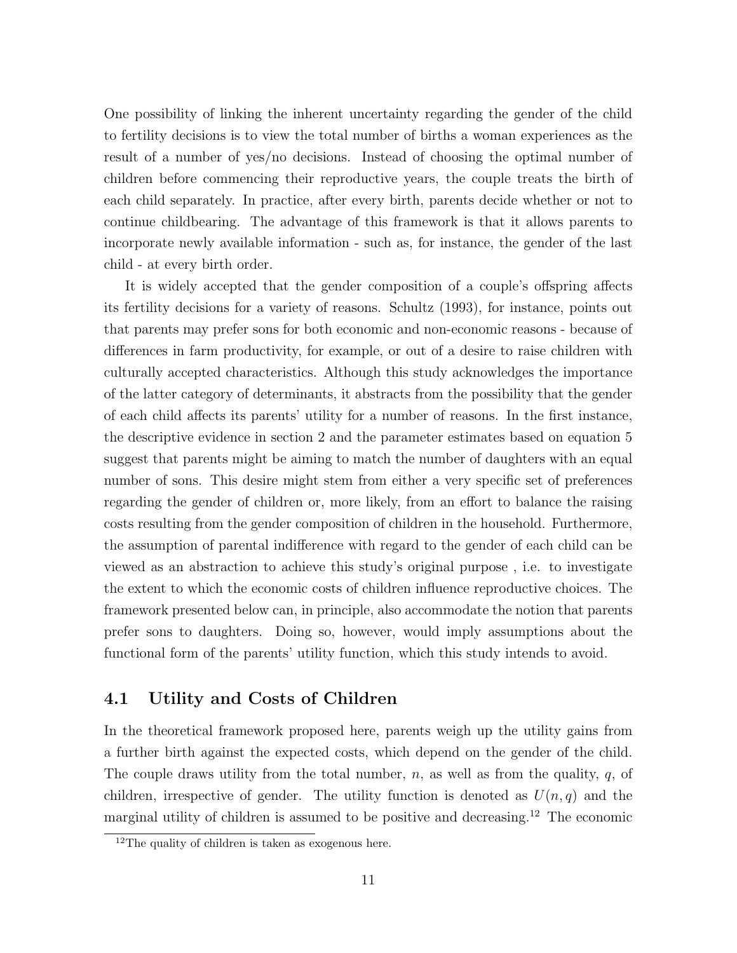One possibility of linking the inherent uncertainty regarding the gender of the child to fertility decisions is to view the total number of births a woman experiences as the result of a number of yes/no decisions. Instead of choosing the optimal number of children before commencing their reproductive years, the couple treats the birth of each child separately. In practice, after every birth, parents decide whether or not to continue childbearing. The advantage of this framework is that it allows parents to incorporate newly available information - such as, for instance, the gender of the last child - at every birth order.

It is widely accepted that the gender composition of a couple's offspring affects its fertility decisions for a variety of reasons. Schultz (1993), for instance, points out that parents may prefer sons for both economic and non-economic reasons - because of differences in farm productivity, for example, or out of a desire to raise children with culturally accepted characteristics. Although this study acknowledges the importance of the latter category of determinants, it abstracts from the possibility that the gender of each child a↵ects its parents' utility for a number of reasons. In the first instance, the descriptive evidence in section 2 and the parameter estimates based on equation 5 suggest that parents might be aiming to match the number of daughters with an equal number of sons. This desire might stem from either a very specific set of preferences regarding the gender of children or, more likely, from an effort to balance the raising costs resulting from the gender composition of children in the household. Furthermore, the assumption of parental indifference with regard to the gender of each child can be viewed as an abstraction to achieve this study's original purpose , i.e. to investigate the extent to which the economic costs of children influence reproductive choices. The framework presented below can, in principle, also accommodate the notion that parents prefer sons to daughters. Doing so, however, would imply assumptions about the functional form of the parents' utility function, which this study intends to avoid.

### 4.1 Utility and Costs of Children

In the theoretical framework proposed here, parents weigh up the utility gains from a further birth against the expected costs, which depend on the gender of the child. The couple draws utility from the total number, *n*, as well as from the quality, *q*, of children, irrespective of gender. The utility function is denoted as  $U(n,q)$  and the marginal utility of children is assumed to be positive and decreasing.<sup>12</sup> The economic

 $12$ The quality of children is taken as exogenous here.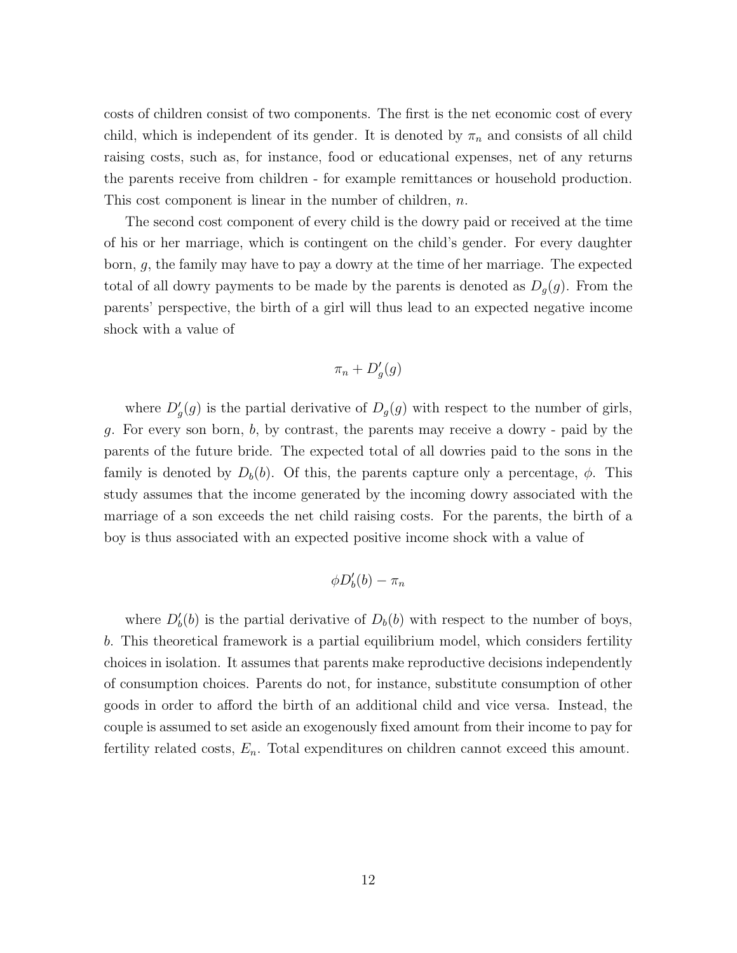costs of children consist of two components. The first is the net economic cost of every child, which is independent of its gender. It is denoted by  $\pi_n$  and consists of all child raising costs, such as, for instance, food or educational expenses, net of any returns the parents receive from children - for example remittances or household production. This cost component is linear in the number of children, *n*.

The second cost component of every child is the dowry paid or received at the time of his or her marriage, which is contingent on the child's gender. For every daughter born, *g*, the family may have to pay a dowry at the time of her marriage. The expected total of all dowry payments to be made by the parents is denoted as  $D_g(g)$ . From the parents' perspective, the birth of a girl will thus lead to an expected negative income shock with a value of

$$
\pi_n+D'_g(g)
$$

where  $D'_g(g)$  is the partial derivative of  $D_g(g)$  with respect to the number of girls, *g*. For every son born, *b*, by contrast, the parents may receive a dowry - paid by the parents of the future bride. The expected total of all dowries paid to the sons in the family is denoted by  $D_b(b)$ . Of this, the parents capture only a percentage,  $\phi$ . This study assumes that the income generated by the incoming dowry associated with the marriage of a son exceeds the net child raising costs. For the parents, the birth of a boy is thus associated with an expected positive income shock with a value of

$$
\phi D'_b(b) - \pi_n
$$

where  $D'_b(b)$  is the partial derivative of  $D_b(b)$  with respect to the number of boys, *b*. This theoretical framework is a partial equilibrium model, which considers fertility choices in isolation. It assumes that parents make reproductive decisions independently of consumption choices. Parents do not, for instance, substitute consumption of other goods in order to afford the birth of an additional child and vice versa. Instead, the couple is assumed to set aside an exogenously fixed amount from their income to pay for fertility related costs, *En*. Total expenditures on children cannot exceed this amount.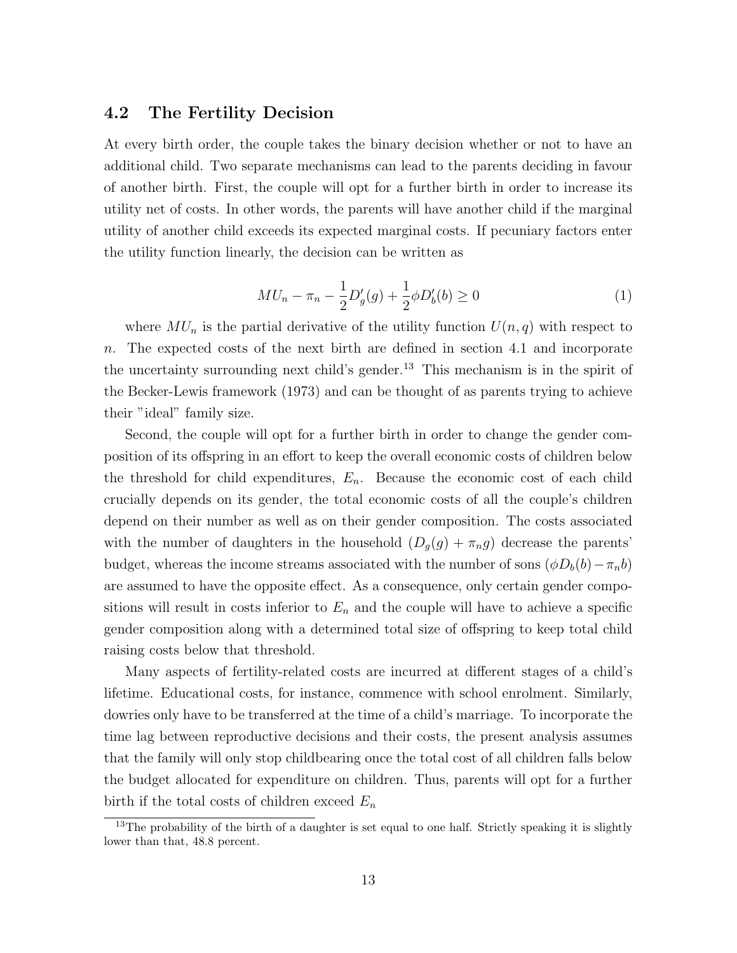### 4.2 The Fertility Decision

At every birth order, the couple takes the binary decision whether or not to have an additional child. Two separate mechanisms can lead to the parents deciding in favour of another birth. First, the couple will opt for a further birth in order to increase its utility net of costs. In other words, the parents will have another child if the marginal utility of another child exceeds its expected marginal costs. If pecuniary factors enter the utility function linearly, the decision can be written as

$$
MU_n - \pi_n - \frac{1}{2} D_g'(g) + \frac{1}{2} \phi D_b'(b) \ge 0
$$
\n(1)

where  $MU_n$  is the partial derivative of the utility function  $U(n, q)$  with respect to *n*. The expected costs of the next birth are defined in section 4.1 and incorporate the uncertainty surrounding next child's gender.<sup>13</sup> This mechanism is in the spirit of the Becker-Lewis framework (1973) and can be thought of as parents trying to achieve their "ideal" family size.

Second, the couple will opt for a further birth in order to change the gender composition of its offspring in an effort to keep the overall economic costs of children below the threshold for child expenditures,  $E_n$ . Because the economic cost of each child crucially depends on its gender, the total economic costs of all the couple's children depend on their number as well as on their gender composition. The costs associated with the number of daughters in the household  $(D_g(g) + \pi_n g)$  decrease the parents' budget, whereas the income streams associated with the number of sons  $(\phi D_b(b) - \pi_n b)$ are assumed to have the opposite effect. As a consequence, only certain gender compositions will result in costs inferior to  $E_n$  and the couple will have to achieve a specific gender composition along with a determined total size of offspring to keep total child raising costs below that threshold.

Many aspects of fertility-related costs are incurred at different stages of a child's lifetime. Educational costs, for instance, commence with school enrolment. Similarly, dowries only have to be transferred at the time of a child's marriage. To incorporate the time lag between reproductive decisions and their costs, the present analysis assumes that the family will only stop childbearing once the total cost of all children falls below the budget allocated for expenditure on children. Thus, parents will opt for a further birth if the total costs of children exceed *E<sup>n</sup>*

 $13$ The probability of the birth of a daughter is set equal to one half. Strictly speaking it is slightly lower than that, 48.8 percent.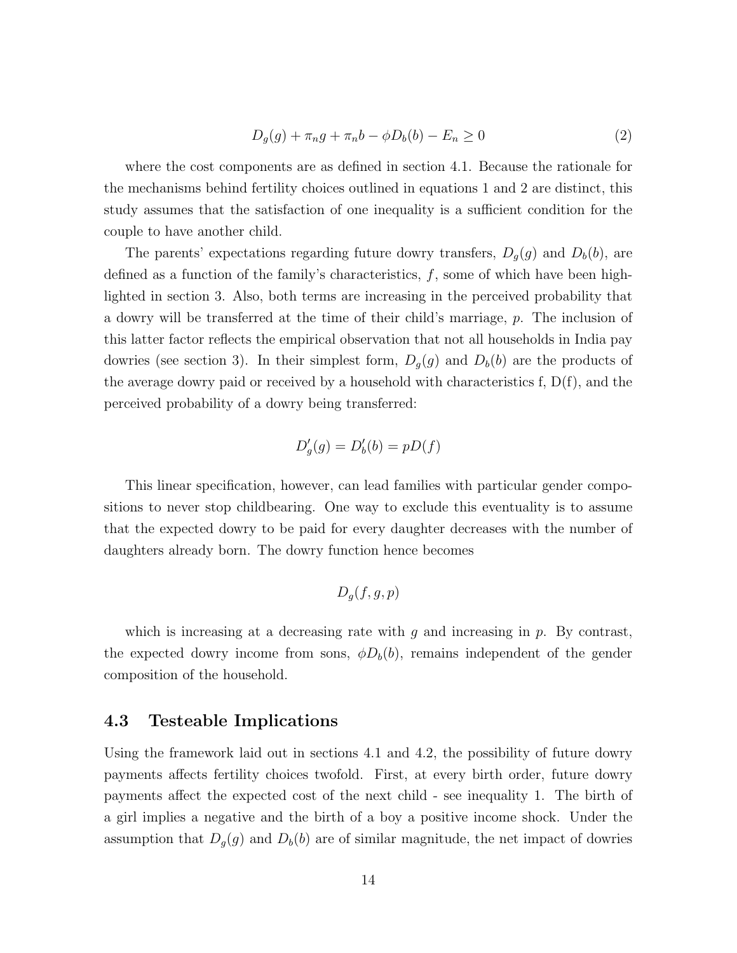$$
D_g(g) + \pi_n g + \pi_n b - \phi D_b(b) - E_n \ge 0
$$
\n(2)

where the cost components are as defined in section 4.1. Because the rationale for the mechanisms behind fertility choices outlined in equations 1 and 2 are distinct, this study assumes that the satisfaction of one inequality is a sufficient condition for the couple to have another child.

The parents' expectations regarding future dowry transfers,  $D_g(g)$  and  $D_b(b)$ , are defined as a function of the family's characteristics, *f*, some of which have been highlighted in section 3. Also, both terms are increasing in the perceived probability that a dowry will be transferred at the time of their child's marriage, *p*. The inclusion of this latter factor reflects the empirical observation that not all households in India pay dowries (see section 3). In their simplest form,  $D_g(g)$  and  $D_b(b)$  are the products of the average dowry paid or received by a household with characteristics  $f, D(f)$ , and the perceived probability of a dowry being transferred:

$$
D_g'(g) = D_b'(b) = pD(f)
$$

This linear specification, however, can lead families with particular gender compositions to never stop childbearing. One way to exclude this eventuality is to assume that the expected dowry to be paid for every daughter decreases with the number of daughters already born. The dowry function hence becomes

$$
D_g(f,g,p)
$$

which is increasing at a decreasing rate with *g* and increasing in *p*. By contrast, the expected dowry income from sons,  $\phi D_b(b)$ , remains independent of the gender composition of the household.

# 4.3 Testeable Implications

Using the framework laid out in sections 4.1 and 4.2, the possibility of future dowry payments affects fertility choices twofold. First, at every birth order, future dowry payments affect the expected cost of the next child - see inequality 1. The birth of a girl implies a negative and the birth of a boy a positive income shock. Under the assumption that  $D_g(g)$  and  $D_b(b)$  are of similar magnitude, the net impact of dowries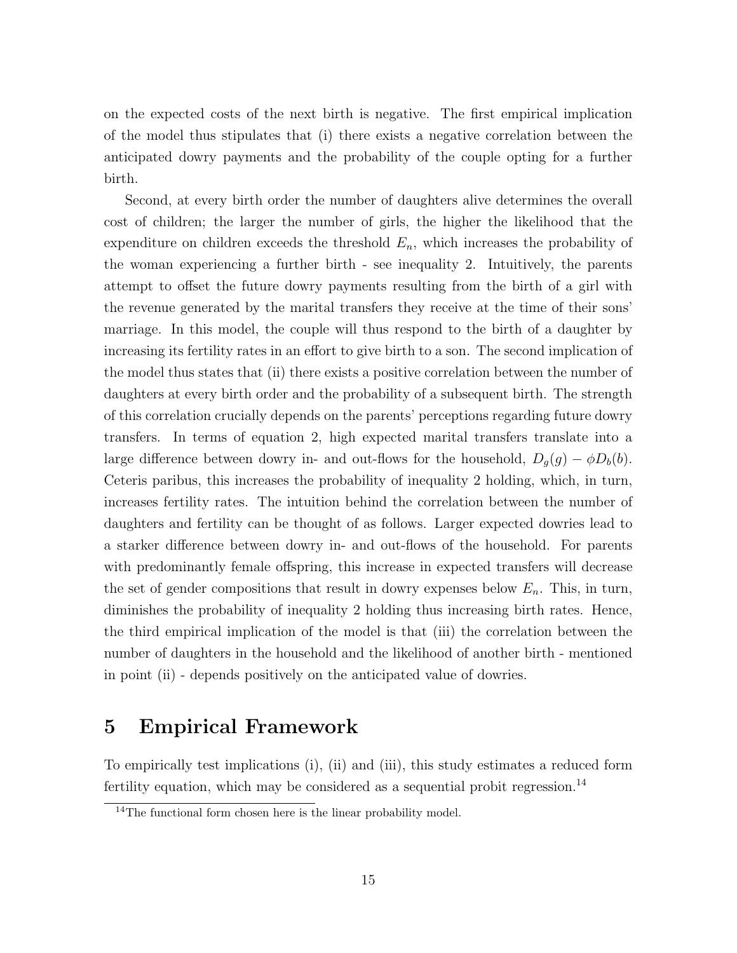on the expected costs of the next birth is negative. The first empirical implication of the model thus stipulates that (i) there exists a negative correlation between the anticipated dowry payments and the probability of the couple opting for a further birth.

Second, at every birth order the number of daughters alive determines the overall cost of children; the larger the number of girls, the higher the likelihood that the expenditure on children exceeds the threshold *En*, which increases the probability of the woman experiencing a further birth - see inequality 2. Intuitively, the parents attempt to offset the future dowry payments resulting from the birth of a girl with the revenue generated by the marital transfers they receive at the time of their sons' marriage. In this model, the couple will thus respond to the birth of a daughter by increasing its fertility rates in an effort to give birth to a son. The second implication of the model thus states that (ii) there exists a positive correlation between the number of daughters at every birth order and the probability of a subsequent birth. The strength of this correlation crucially depends on the parents' perceptions regarding future dowry transfers. In terms of equation 2, high expected marital transfers translate into a large difference between dowry in- and out-flows for the household,  $D_g(g) - \phi D_b(b)$ . Ceteris paribus, this increases the probability of inequality 2 holding, which, in turn, increases fertility rates. The intuition behind the correlation between the number of daughters and fertility can be thought of as follows. Larger expected dowries lead to a starker difference between dowry in- and out-flows of the household. For parents with predominantly female offspring, this increase in expected transfers will decrease the set of gender compositions that result in dowry expenses below  $E_n$ . This, in turn, diminishes the probability of inequality 2 holding thus increasing birth rates. Hence, the third empirical implication of the model is that (iii) the correlation between the number of daughters in the household and the likelihood of another birth - mentioned in point (ii) - depends positively on the anticipated value of dowries.

# 5 Empirical Framework

To empirically test implications (i), (ii) and (iii), this study estimates a reduced form fertility equation, which may be considered as a sequential probit regression.<sup>14</sup>

<sup>&</sup>lt;sup>14</sup>The functional form chosen here is the linear probability model.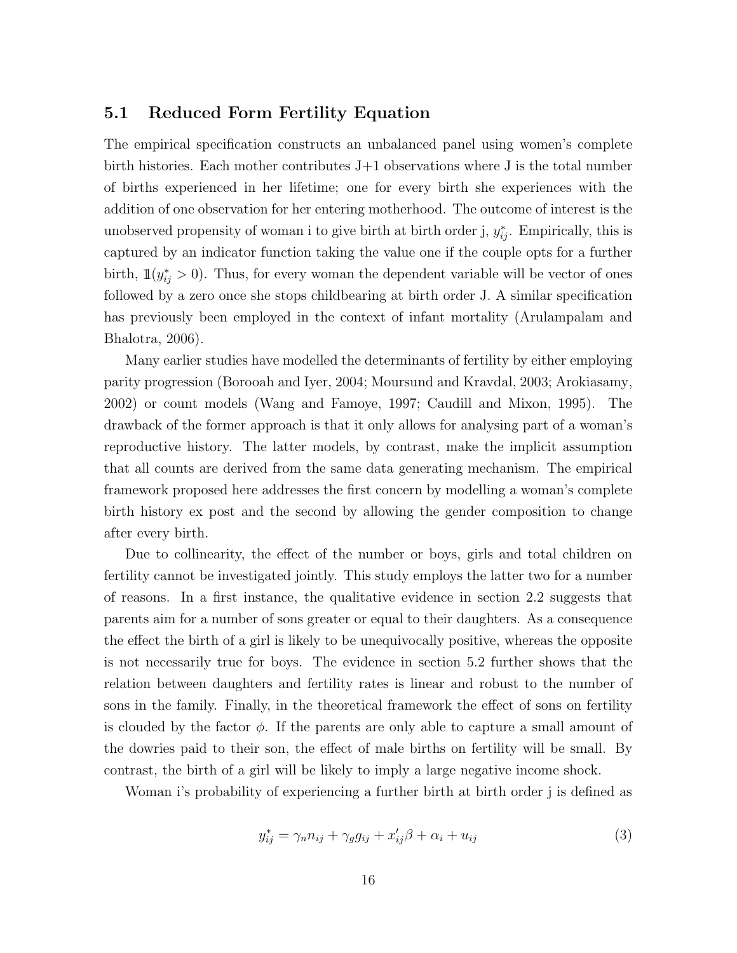### 5.1 Reduced Form Fertility Equation

The empirical specification constructs an unbalanced panel using women's complete birth histories. Each mother contributes J+1 observations where J is the total number of births experienced in her lifetime; one for every birth she experiences with the addition of one observation for her entering motherhood. The outcome of interest is the unobserved propensity of woman i to give birth at birth order j,  $y_{ij}^*$ . Empirically, this is captured by an indicator function taking the value one if the couple opts for a further birth,  $\mathbb{1}(y^*_{ij} > 0)$ . Thus, for every woman the dependent variable will be vector of ones followed by a zero once she stops childbearing at birth order J. A similar specification has previously been employed in the context of infant mortality (Arulampalam and Bhalotra, 2006).

Many earlier studies have modelled the determinants of fertility by either employing parity progression (Borooah and Iyer, 2004; Moursund and Kravdal, 2003; Arokiasamy, 2002) or count models (Wang and Famoye, 1997; Caudill and Mixon, 1995). The drawback of the former approach is that it only allows for analysing part of a woman's reproductive history. The latter models, by contrast, make the implicit assumption that all counts are derived from the same data generating mechanism. The empirical framework proposed here addresses the first concern by modelling a woman's complete birth history ex post and the second by allowing the gender composition to change after every birth.

Due to collinearity, the effect of the number or boys, girls and total children on fertility cannot be investigated jointly. This study employs the latter two for a number of reasons. In a first instance, the qualitative evidence in section 2.2 suggests that parents aim for a number of sons greater or equal to their daughters. As a consequence the effect the birth of a girl is likely to be unequivocally positive, whereas the opposite is not necessarily true for boys. The evidence in section 5.2 further shows that the relation between daughters and fertility rates is linear and robust to the number of sons in the family. Finally, in the theoretical framework the effect of sons on fertility is clouded by the factor  $\phi$ . If the parents are only able to capture a small amount of the dowries paid to their son, the effect of male births on fertility will be small. By contrast, the birth of a girl will be likely to imply a large negative income shock.

Woman i's probability of experiencing a further birth at birth order j is defined as

$$
y_{ij}^* = \gamma_n n_{ij} + \gamma_g g_{ij} + x_{ij}' \beta + \alpha_i + u_{ij}
$$
\n
$$
\tag{3}
$$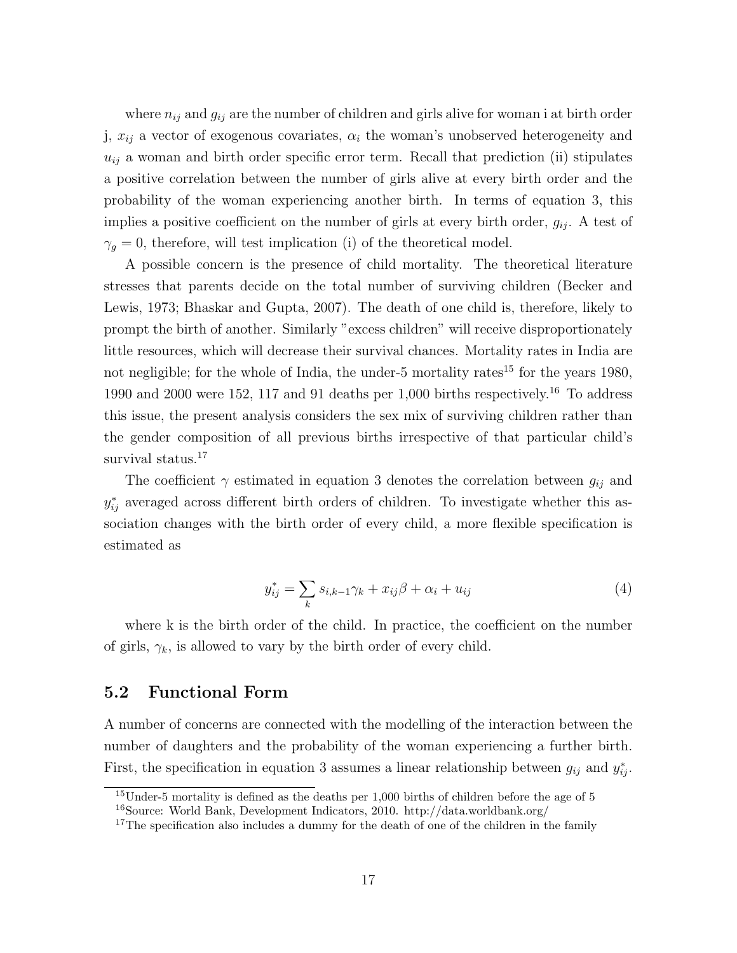where  $n_{ij}$  and  $g_{ij}$  are the number of children and girls alive for woman i at birth order j,  $x_{ij}$  a vector of exogenous covariates,  $\alpha_i$  the woman's unobserved heterogeneity and  $u_{ij}$  a woman and birth order specific error term. Recall that prediction (ii) stipulates a positive correlation between the number of girls alive at every birth order and the probability of the woman experiencing another birth. In terms of equation 3, this implies a positive coefficient on the number of girls at every birth order,  $g_{ij}$ . A test of  $\gamma_q = 0$ , therefore, will test implication (i) of the theoretical model.

A possible concern is the presence of child mortality. The theoretical literature stresses that parents decide on the total number of surviving children (Becker and Lewis, 1973; Bhaskar and Gupta, 2007). The death of one child is, therefore, likely to prompt the birth of another. Similarly "excess children" will receive disproportionately little resources, which will decrease their survival chances. Mortality rates in India are not negligible; for the whole of India, the under-5 mortality rates<sup>15</sup> for the years 1980, 1990 and 2000 were 152, 117 and 91 deaths per 1,000 births respectively.<sup>16</sup> To address this issue, the present analysis considers the sex mix of surviving children rather than the gender composition of all previous births irrespective of that particular child's survival status.<sup>17</sup>

The coefficient  $\gamma$  estimated in equation 3 denotes the correlation between  $g_{ij}$  and  $y_{ij}^*$  averaged across different birth orders of children. To investigate whether this association changes with the birth order of every child, a more flexible specification is estimated as

$$
y_{ij}^* = \sum_k s_{i,k-1}\gamma_k + x_{ij}\beta + \alpha_i + u_{ij}
$$
\n
$$
\tag{4}
$$

where k is the birth order of the child. In practice, the coefficient on the number of girls,  $\gamma_k$ , is allowed to vary by the birth order of every child.

# 5.2 Functional Form

A number of concerns are connected with the modelling of the interaction between the number of daughters and the probability of the woman experiencing a further birth. First, the specification in equation 3 assumes a linear relationship between  $g_{ij}$  and  $y_{ij}^*$ .

 $15$ Under-5 mortality is defined as the deaths per 1,000 births of children before the age of 5 <sup>16</sup>Source: World Bank, Development Indicators, 2010. http://data.worldbank.org/

 $17$ The specification also includes a dummy for the death of one of the children in the family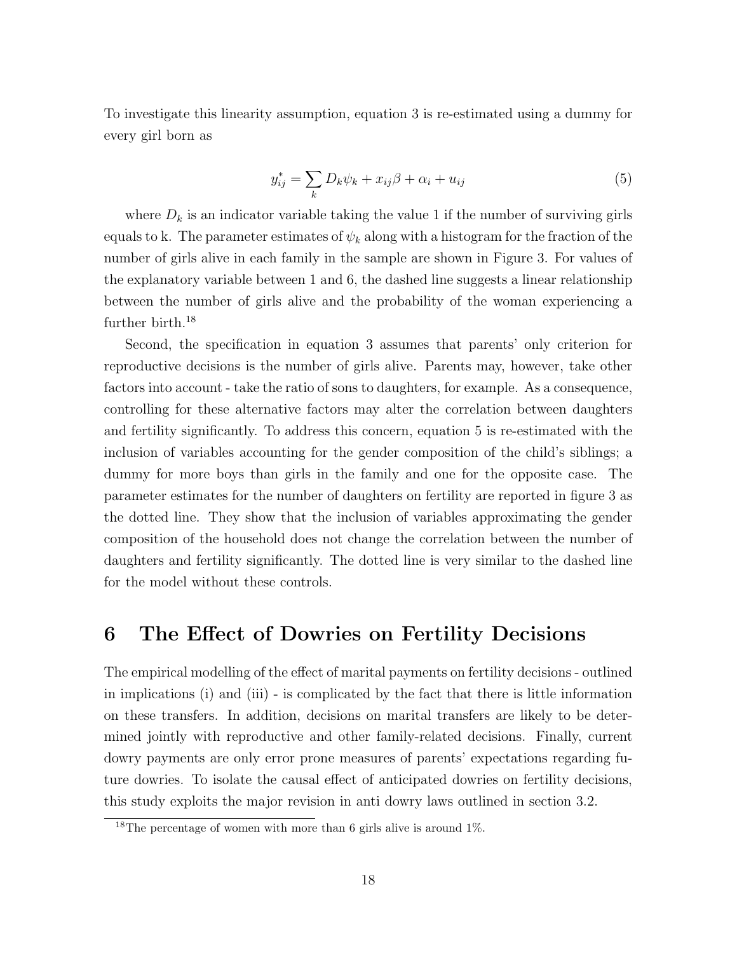To investigate this linearity assumption, equation 3 is re-estimated using a dummy for every girl born as

$$
y_{ij}^* = \sum_k D_k \psi_k + x_{ij} \beta + \alpha_i + u_{ij}
$$
\n<sup>(5)</sup>

where  $D_k$  is an indicator variable taking the value 1 if the number of surviving girls equals to k. The parameter estimates of  $\psi_k$  along with a histogram for the fraction of the number of girls alive in each family in the sample are shown in Figure 3. For values of the explanatory variable between 1 and 6, the dashed line suggests a linear relationship between the number of girls alive and the probability of the woman experiencing a further birth.<sup>18</sup>

Second, the specification in equation 3 assumes that parents' only criterion for reproductive decisions is the number of girls alive. Parents may, however, take other factors into account - take the ratio of sons to daughters, for example. As a consequence, controlling for these alternative factors may alter the correlation between daughters and fertility significantly. To address this concern, equation 5 is re-estimated with the inclusion of variables accounting for the gender composition of the child's siblings; a dummy for more boys than girls in the family and one for the opposite case. The parameter estimates for the number of daughters on fertility are reported in figure 3 as the dotted line. They show that the inclusion of variables approximating the gender composition of the household does not change the correlation between the number of daughters and fertility significantly. The dotted line is very similar to the dashed line for the model without these controls.

# 6 The Effect of Dowries on Fertility Decisions

The empirical modelling of the effect of marital payments on fertility decisions - outlined in implications (i) and (iii) - is complicated by the fact that there is little information on these transfers. In addition, decisions on marital transfers are likely to be determined jointly with reproductive and other family-related decisions. Finally, current dowry payments are only error prone measures of parents' expectations regarding future dowries. To isolate the causal effect of anticipated dowries on fertility decisions, this study exploits the major revision in anti dowry laws outlined in section 3.2.

<sup>&</sup>lt;sup>18</sup>The percentage of women with more than 6 girls alive is around  $1\%$ .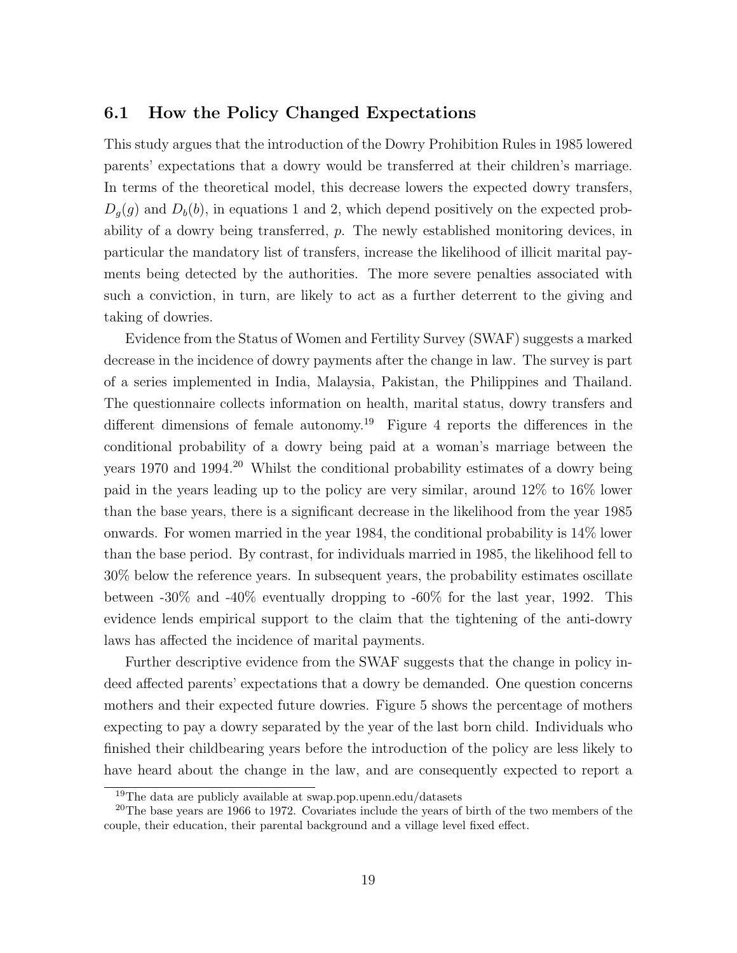### 6.1 How the Policy Changed Expectations

This study argues that the introduction of the Dowry Prohibition Rules in 1985 lowered parents' expectations that a dowry would be transferred at their children's marriage. In terms of the theoretical model, this decrease lowers the expected dowry transfers,  $D_q(g)$  and  $D_b(b)$ , in equations 1 and 2, which depend positively on the expected probability of a dowry being transferred, *p*. The newly established monitoring devices, in particular the mandatory list of transfers, increase the likelihood of illicit marital payments being detected by the authorities. The more severe penalties associated with such a conviction, in turn, are likely to act as a further deterrent to the giving and taking of dowries.

Evidence from the Status of Women and Fertility Survey (SWAF) suggests a marked decrease in the incidence of dowry payments after the change in law. The survey is part of a series implemented in India, Malaysia, Pakistan, the Philippines and Thailand. The questionnaire collects information on health, marital status, dowry transfers and different dimensions of female autonomy.<sup>19</sup> Figure 4 reports the differences in the conditional probability of a dowry being paid at a woman's marriage between the years 1970 and 1994.<sup>20</sup> Whilst the conditional probability estimates of a dowry being paid in the years leading up to the policy are very similar, around 12% to 16% lower than the base years, there is a significant decrease in the likelihood from the year 1985 onwards. For women married in the year 1984, the conditional probability is 14% lower than the base period. By contrast, for individuals married in 1985, the likelihood fell to 30% below the reference years. In subsequent years, the probability estimates oscillate between -30% and -40% eventually dropping to -60% for the last year, 1992. This evidence lends empirical support to the claim that the tightening of the anti-dowry laws has affected the incidence of marital payments.

Further descriptive evidence from the SWAF suggests that the change in policy indeed affected parents' expectations that a dowry be demanded. One question concerns mothers and their expected future dowries. Figure 5 shows the percentage of mothers expecting to pay a dowry separated by the year of the last born child. Individuals who finished their childbearing years before the introduction of the policy are less likely to have heard about the change in the law, and are consequently expected to report a

<sup>19</sup>The data are publicly available at swap.pop.upenn.edu/datasets

 $20$ The base years are 1966 to 1972. Covariates include the years of birth of the two members of the couple, their education, their parental background and a village level fixed effect.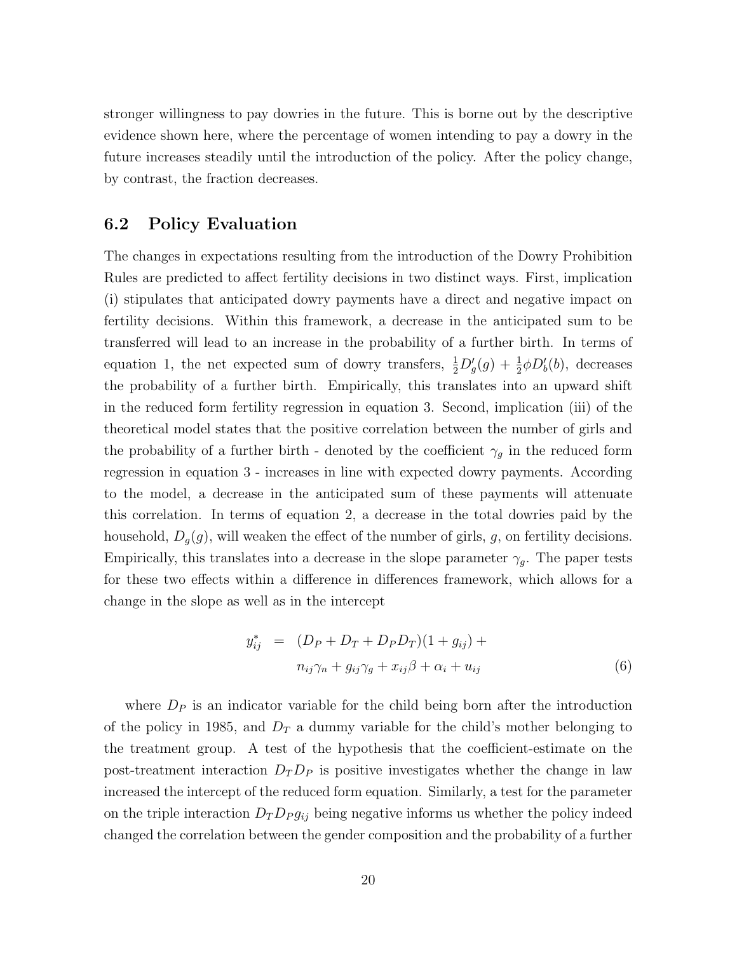stronger willingness to pay dowries in the future. This is borne out by the descriptive evidence shown here, where the percentage of women intending to pay a dowry in the future increases steadily until the introduction of the policy. After the policy change, by contrast, the fraction decreases.

# 6.2 Policy Evaluation

The changes in expectations resulting from the introduction of the Dowry Prohibition Rules are predicted to affect fertility decisions in two distinct ways. First, implication (i) stipulates that anticipated dowry payments have a direct and negative impact on fertility decisions. Within this framework, a decrease in the anticipated sum to be transferred will lead to an increase in the probability of a further birth. In terms of equation 1, the net expected sum of dowry transfers,  $\frac{1}{2}D'_{g}(g) + \frac{1}{2}\phi D'_{b}(b)$ , decreases the probability of a further birth. Empirically, this translates into an upward shift in the reduced form fertility regression in equation 3. Second, implication (iii) of the theoretical model states that the positive correlation between the number of girls and the probability of a further birth - denoted by the coefficient  $\gamma_g$  in the reduced form regression in equation 3 - increases in line with expected dowry payments. According to the model, a decrease in the anticipated sum of these payments will attenuate this correlation. In terms of equation 2, a decrease in the total dowries paid by the household,  $D_g(g)$ , will weaken the effect of the number of girls, g, on fertility decisions. Empirically, this translates into a decrease in the slope parameter  $\gamma_g$ . The paper tests for these two effects within a difference in differences framework, which allows for a change in the slope as well as in the intercept

$$
y_{ij}^* = (D_P + D_T + D_P D_T)(1 + g_{ij}) +
$$
  

$$
n_{ij}\gamma_n + g_{ij}\gamma_g + x_{ij}\beta + \alpha_i + u_{ij}
$$

$$
(6)
$$

where  $D<sub>P</sub>$  is an indicator variable for the child being born after the introduction of the policy in 1985, and  $D_T$  a dummy variable for the child's mother belonging to the treatment group. A test of the hypothesis that the coefficient-estimate on the post-treatment interaction  $D_T D_P$  is positive investigates whether the change in law increased the intercept of the reduced form equation. Similarly, a test for the parameter on the triple interaction  $D_T D_P g_{ij}$  being negative informs us whether the policy indeed changed the correlation between the gender composition and the probability of a further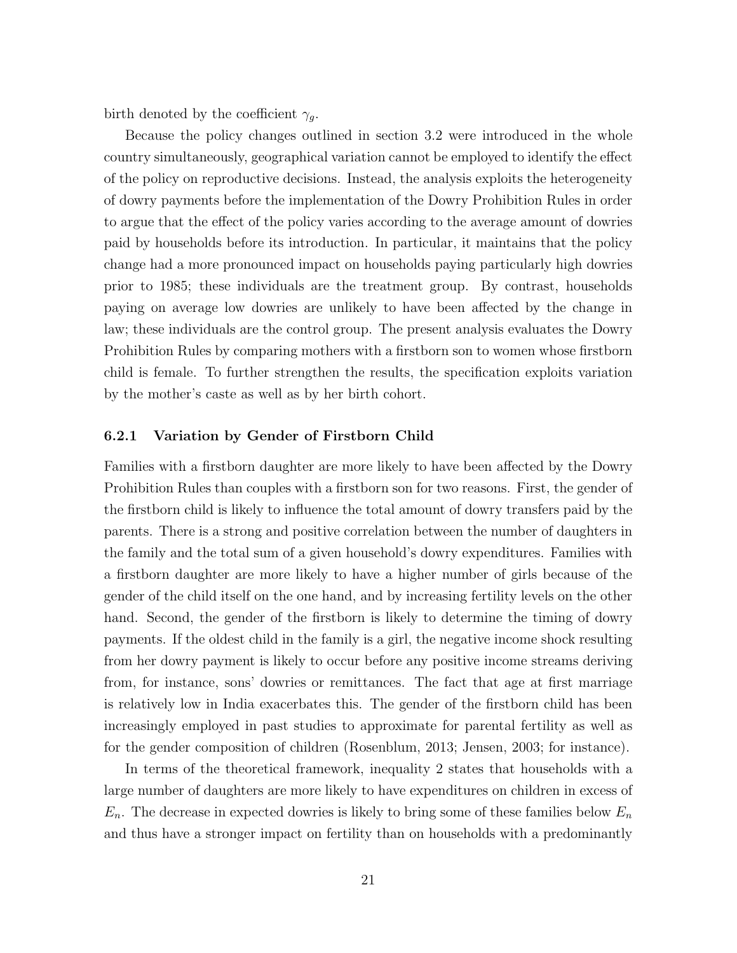birth denoted by the coefficient  $\gamma_g$ .

Because the policy changes outlined in section 3.2 were introduced in the whole country simultaneously, geographical variation cannot be employed to identify the effect of the policy on reproductive decisions. Instead, the analysis exploits the heterogeneity of dowry payments before the implementation of the Dowry Prohibition Rules in order to argue that the effect of the policy varies according to the average amount of dowries paid by households before its introduction. In particular, it maintains that the policy change had a more pronounced impact on households paying particularly high dowries prior to 1985; these individuals are the treatment group. By contrast, households paying on average low dowries are unlikely to have been affected by the change in law; these individuals are the control group. The present analysis evaluates the Dowry Prohibition Rules by comparing mothers with a firstborn son to women whose firstborn child is female. To further strengthen the results, the specification exploits variation by the mother's caste as well as by her birth cohort.

#### 6.2.1 Variation by Gender of Firstborn Child

Families with a firstborn daughter are more likely to have been affected by the Dowry Prohibition Rules than couples with a firstborn son for two reasons. First, the gender of the firstborn child is likely to influence the total amount of dowry transfers paid by the parents. There is a strong and positive correlation between the number of daughters in the family and the total sum of a given household's dowry expenditures. Families with a firstborn daughter are more likely to have a higher number of girls because of the gender of the child itself on the one hand, and by increasing fertility levels on the other hand. Second, the gender of the firstborn is likely to determine the timing of dowry payments. If the oldest child in the family is a girl, the negative income shock resulting from her dowry payment is likely to occur before any positive income streams deriving from, for instance, sons' dowries or remittances. The fact that age at first marriage is relatively low in India exacerbates this. The gender of the firstborn child has been increasingly employed in past studies to approximate for parental fertility as well as for the gender composition of children (Rosenblum, 2013; Jensen, 2003; for instance).

In terms of the theoretical framework, inequality 2 states that households with a large number of daughters are more likely to have expenditures on children in excess of  $E_n$ . The decrease in expected dowries is likely to bring some of these families below  $E_n$ and thus have a stronger impact on fertility than on households with a predominantly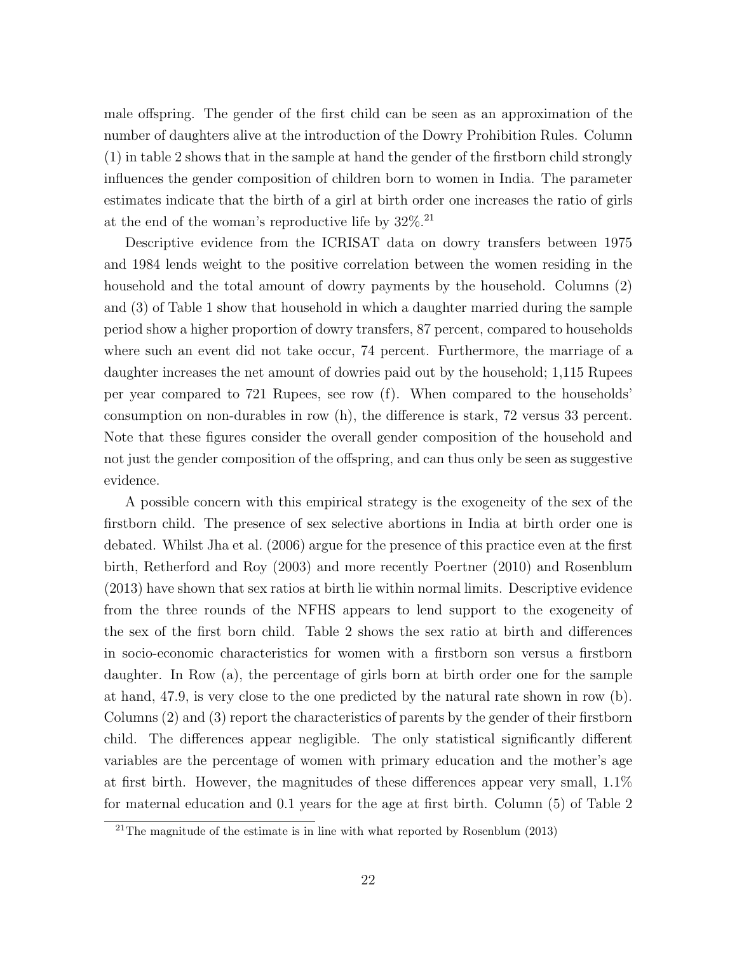male offspring. The gender of the first child can be seen as an approximation of the number of daughters alive at the introduction of the Dowry Prohibition Rules. Column (1) in table 2 shows that in the sample at hand the gender of the firstborn child strongly influences the gender composition of children born to women in India. The parameter estimates indicate that the birth of a girl at birth order one increases the ratio of girls at the end of the woman's reproductive life by  $32\%$ .<sup>21</sup>

Descriptive evidence from the ICRISAT data on dowry transfers between 1975 and 1984 lends weight to the positive correlation between the women residing in the household and the total amount of dowry payments by the household. Columns (2) and (3) of Table 1 show that household in which a daughter married during the sample period show a higher proportion of dowry transfers, 87 percent, compared to households where such an event did not take occur, 74 percent. Furthermore, the marriage of a daughter increases the net amount of dowries paid out by the household; 1,115 Rupees per year compared to 721 Rupees, see row (f). When compared to the households' consumption on non-durables in row  $(h)$ , the difference is stark, 72 versus 33 percent. Note that these figures consider the overall gender composition of the household and not just the gender composition of the offspring, and can thus only be seen as suggestive evidence.

A possible concern with this empirical strategy is the exogeneity of the sex of the firstborn child. The presence of sex selective abortions in India at birth order one is debated. Whilst Jha et al. (2006) argue for the presence of this practice even at the first birth, Retherford and Roy (2003) and more recently Poertner (2010) and Rosenblum (2013) have shown that sex ratios at birth lie within normal limits. Descriptive evidence from the three rounds of the NFHS appears to lend support to the exogeneity of the sex of the first born child. Table 2 shows the sex ratio at birth and differences in socio-economic characteristics for women with a firstborn son versus a firstborn daughter. In Row (a), the percentage of girls born at birth order one for the sample at hand, 47.9, is very close to the one predicted by the natural rate shown in row (b). Columns (2) and (3) report the characteristics of parents by the gender of their firstborn child. The differences appear negligible. The only statistical significantly different variables are the percentage of women with primary education and the mother's age at first birth. However, the magnitudes of these differences appear very small,  $1.1\%$ for maternal education and 0.1 years for the age at first birth. Column (5) of Table 2

<sup>&</sup>lt;sup>21</sup>The magnitude of the estimate is in line with what reported by Rosenblum  $(2013)$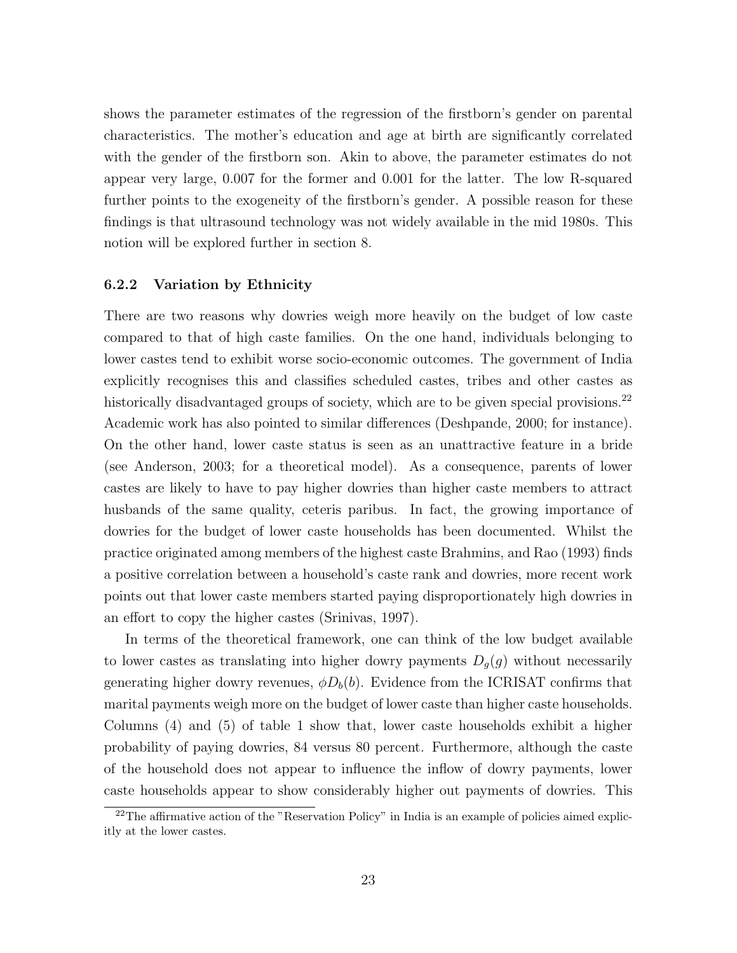shows the parameter estimates of the regression of the firstborn's gender on parental characteristics. The mother's education and age at birth are significantly correlated with the gender of the firstborn son. Akin to above, the parameter estimates do not appear very large, 0.007 for the former and 0.001 for the latter. The low R-squared further points to the exogeneity of the firstborn's gender. A possible reason for these findings is that ultrasound technology was not widely available in the mid 1980s. This notion will be explored further in section 8.

#### 6.2.2 Variation by Ethnicity

There are two reasons why dowries weigh more heavily on the budget of low caste compared to that of high caste families. On the one hand, individuals belonging to lower castes tend to exhibit worse socio-economic outcomes. The government of India explicitly recognises this and classifies scheduled castes, tribes and other castes as historically disadvantaged groups of society, which are to be given special provisions.<sup>22</sup> Academic work has also pointed to similar differences (Deshpande, 2000; for instance). On the other hand, lower caste status is seen as an unattractive feature in a bride (see Anderson, 2003; for a theoretical model). As a consequence, parents of lower castes are likely to have to pay higher dowries than higher caste members to attract husbands of the same quality, ceteris paribus. In fact, the growing importance of dowries for the budget of lower caste households has been documented. Whilst the practice originated among members of the highest caste Brahmins, and Rao (1993) finds a positive correlation between a household's caste rank and dowries, more recent work points out that lower caste members started paying disproportionately high dowries in an effort to copy the higher castes (Srinivas, 1997).

In terms of the theoretical framework, one can think of the low budget available to lower castes as translating into higher dowry payments  $D_g(g)$  without necessarily generating higher dowry revenues,  $\phi D_b(b)$ . Evidence from the ICRISAT confirms that marital payments weigh more on the budget of lower caste than higher caste households. Columns (4) and (5) of table 1 show that, lower caste households exhibit a higher probability of paying dowries, 84 versus 80 percent. Furthermore, although the caste of the household does not appear to influence the inflow of dowry payments, lower caste households appear to show considerably higher out payments of dowries. This

 $^{22}$ The affirmative action of the "Reservation Policy" in India is an example of policies aimed explicitly at the lower castes.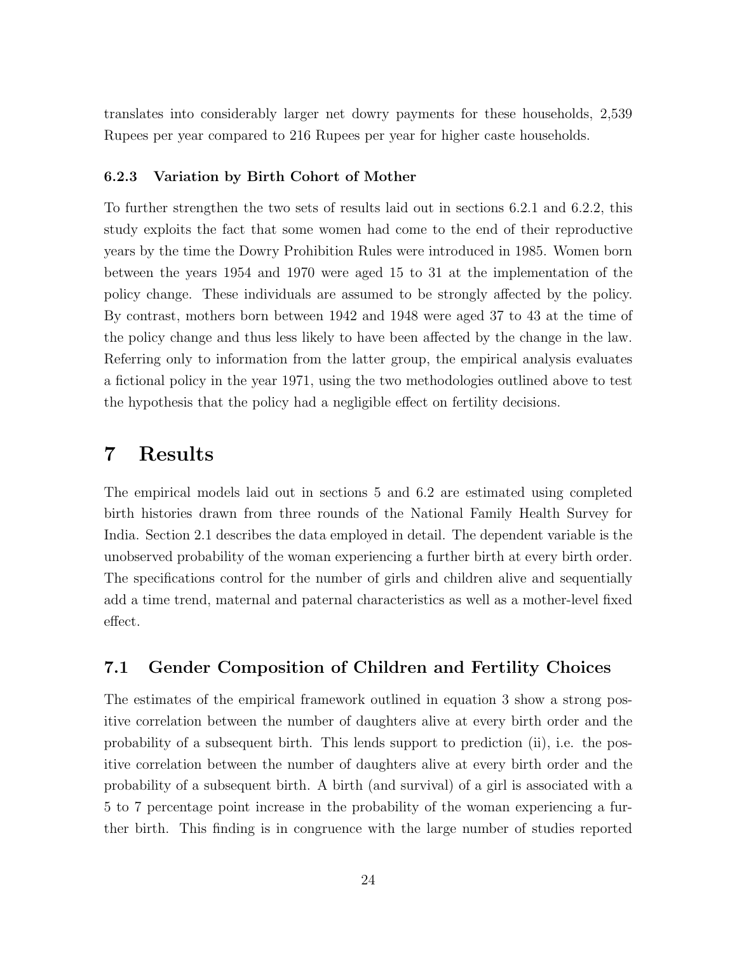translates into considerably larger net dowry payments for these households, 2,539 Rupees per year compared to 216 Rupees per year for higher caste households.

#### 6.2.3 Variation by Birth Cohort of Mother

To further strengthen the two sets of results laid out in sections 6.2.1 and 6.2.2, this study exploits the fact that some women had come to the end of their reproductive years by the time the Dowry Prohibition Rules were introduced in 1985. Women born between the years 1954 and 1970 were aged 15 to 31 at the implementation of the policy change. These individuals are assumed to be strongly affected by the policy. By contrast, mothers born between 1942 and 1948 were aged 37 to 43 at the time of the policy change and thus less likely to have been affected by the change in the law. Referring only to information from the latter group, the empirical analysis evaluates a fictional policy in the year 1971, using the two methodologies outlined above to test the hypothesis that the policy had a negligible effect on fertility decisions.

# 7 Results

The empirical models laid out in sections 5 and 6.2 are estimated using completed birth histories drawn from three rounds of the National Family Health Survey for India. Section 2.1 describes the data employed in detail. The dependent variable is the unobserved probability of the woman experiencing a further birth at every birth order. The specifications control for the number of girls and children alive and sequentially add a time trend, maternal and paternal characteristics as well as a mother-level fixed effect.

# 7.1 Gender Composition of Children and Fertility Choices

The estimates of the empirical framework outlined in equation 3 show a strong positive correlation between the number of daughters alive at every birth order and the probability of a subsequent birth. This lends support to prediction (ii), i.e. the positive correlation between the number of daughters alive at every birth order and the probability of a subsequent birth. A birth (and survival) of a girl is associated with a 5 to 7 percentage point increase in the probability of the woman experiencing a further birth. This finding is in congruence with the large number of studies reported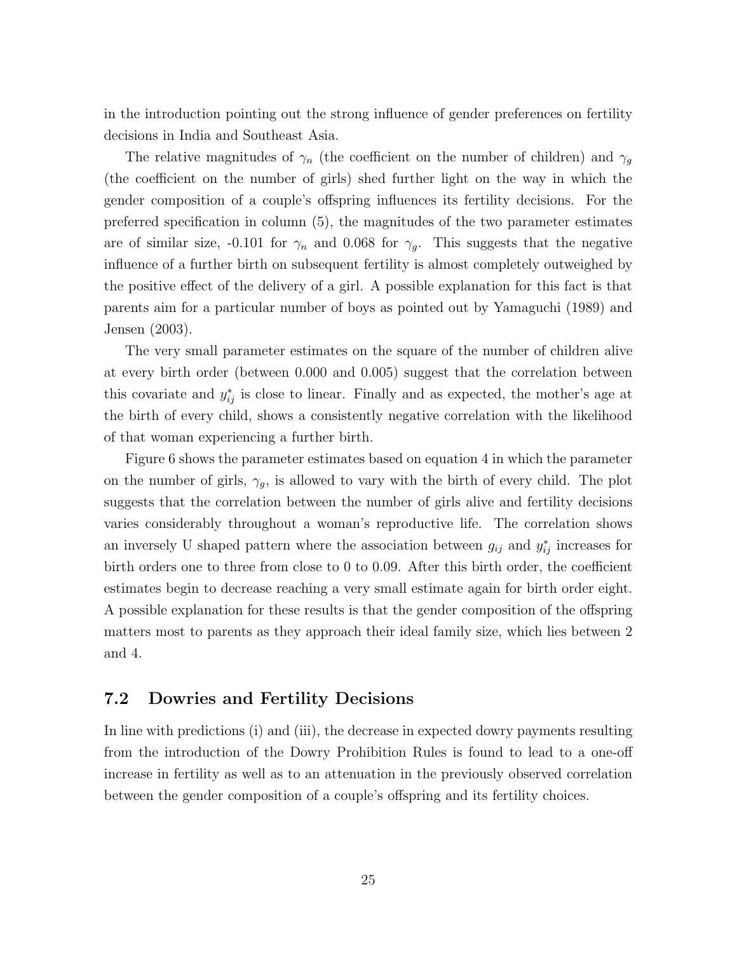in the introduction pointing out the strong influence of gender preferences on fertility decisions in India and Southeast Asia.

The relative magnitudes of  $\gamma_n$  (the coefficient on the number of children) and  $\gamma_g$ (the coefficient on the number of girls) shed further light on the way in which the gender composition of a couple's offspring influences its fertility decisions. For the preferred specification in column (5), the magnitudes of the two parameter estimates are of similar size, -0.101 for  $\gamma_n$  and 0.068 for  $\gamma_q$ . This suggests that the negative influence of a further birth on subsequent fertility is almost completely outweighed by the positive effect of the delivery of a girl. A possible explanation for this fact is that parents aim for a particular number of boys as pointed out by Yamaguchi (1989) and Jensen (2003).

The very small parameter estimates on the square of the number of children alive at every birth order (between 0.000 and 0.005) suggest that the correlation between this covariate and  $y_{ij}^*$  is close to linear. Finally and as expected, the mother's age at the birth of every child, shows a consistently negative correlation with the likelihood of that woman experiencing a further birth.

Figure 6 shows the parameter estimates based on equation 4 in which the parameter on the number of girls,  $\gamma_g$ , is allowed to vary with the birth of every child. The plot suggests that the correlation between the number of girls alive and fertility decisions varies considerably throughout a woman's reproductive life. The correlation shows an inversely U shaped pattern where the association between  $g_{ij}$  and  $y_{ij}^*$  increases for birth orders one to three from close to  $0$  to  $0.09$ . After this birth order, the coefficient estimates begin to decrease reaching a very small estimate again for birth order eight. A possible explanation for these results is that the gender composition of the offspring matters most to parents as they approach their ideal family size, which lies between 2 and 4.

### 7.2 Dowries and Fertility Decisions

In line with predictions (i) and (iii), the decrease in expected dowry payments resulting from the introduction of the Dowry Prohibition Rules is found to lead to a one-off increase in fertility as well as to an attenuation in the previously observed correlation between the gender composition of a couple's offspring and its fertility choices.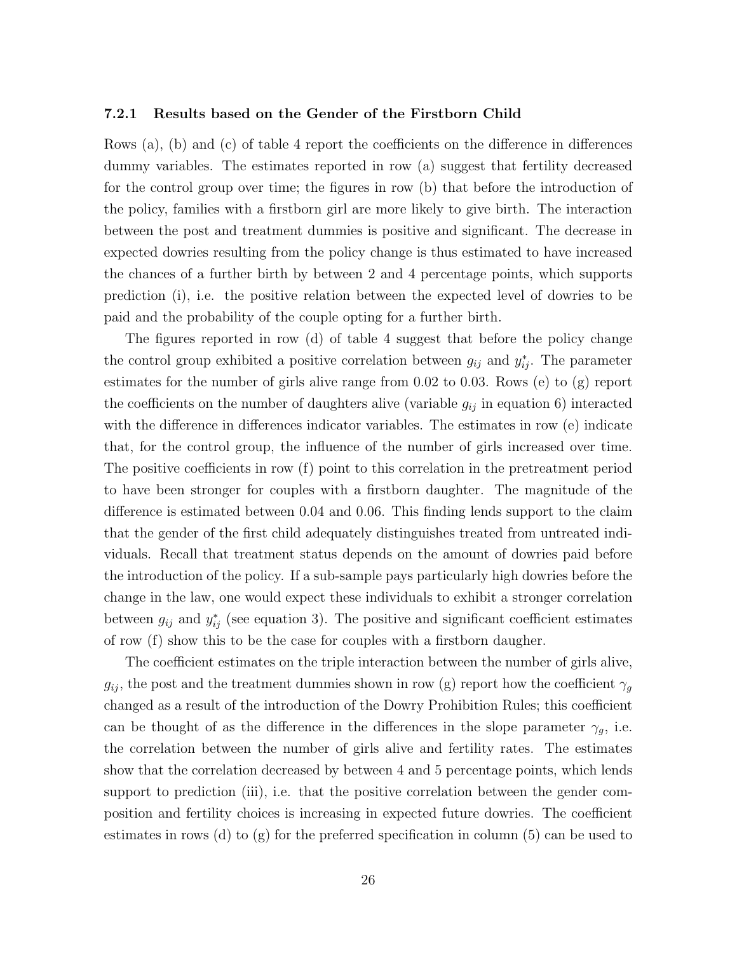#### 7.2.1 Results based on the Gender of the Firstborn Child

Rows (a), (b) and (c) of table 4 report the coefficients on the difference in differences dummy variables. The estimates reported in row (a) suggest that fertility decreased for the control group over time; the figures in row (b) that before the introduction of the policy, families with a firstborn girl are more likely to give birth. The interaction between the post and treatment dummies is positive and significant. The decrease in expected dowries resulting from the policy change is thus estimated to have increased the chances of a further birth by between 2 and 4 percentage points, which supports prediction (i), i.e. the positive relation between the expected level of dowries to be paid and the probability of the couple opting for a further birth.

The figures reported in row (d) of table 4 suggest that before the policy change the control group exhibited a positive correlation between  $g_{ij}$  and  $y_{ij}^*$ . The parameter estimates for the number of girls alive range from 0.02 to 0.03. Rows (e) to (g) report the coefficients on the number of daughters alive (variable  $g_{ij}$  in equation 6) interacted with the difference in differences indicator variables. The estimates in row  $(e)$  indicate that, for the control group, the influence of the number of girls increased over time. The positive coefficients in row  $(f)$  point to this correlation in the pretreatment period to have been stronger for couples with a firstborn daughter. The magnitude of the difference is estimated between  $0.04$  and  $0.06$ . This finding lends support to the claim that the gender of the first child adequately distinguishes treated from untreated individuals. Recall that treatment status depends on the amount of dowries paid before the introduction of the policy. If a sub-sample pays particularly high dowries before the change in the law, one would expect these individuals to exhibit a stronger correlation between  $g_{ij}$  and  $y_{ij}^*$  (see equation 3). The positive and significant coefficient estimates of row (f) show this to be the case for couples with a firstborn daugher.

The coefficient estimates on the triple interaction between the number of girls alive,  $g_{ij}$ , the post and the treatment dummies shown in row (g) report how the coefficient  $\gamma_g$ changed as a result of the introduction of the Dowry Prohibition Rules; this coefficient can be thought of as the difference in the differences in the slope parameter  $\gamma_q$ , i.e. the correlation between the number of girls alive and fertility rates. The estimates show that the correlation decreased by between 4 and 5 percentage points, which lends support to prediction (iii), i.e. that the positive correlation between the gender composition and fertility choices is increasing in expected future dowries. The coefficient estimates in rows (d) to  $(g)$  for the preferred specification in column (5) can be used to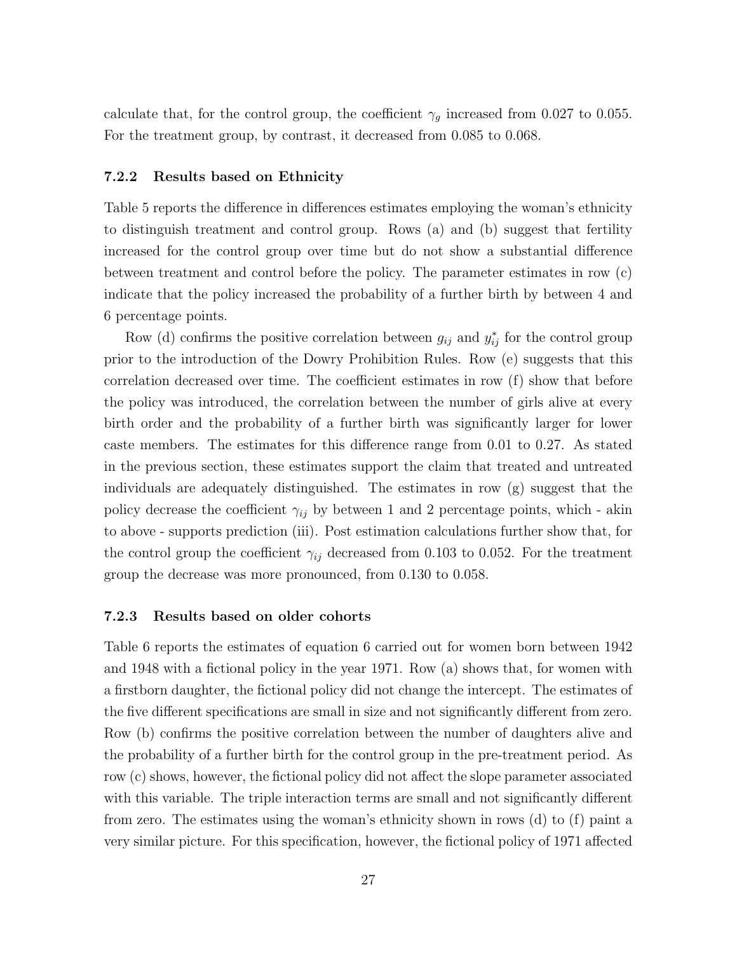calculate that, for the control group, the coefficient  $\gamma_g$  increased from 0.027 to 0.055. For the treatment group, by contrast, it decreased from 0.085 to 0.068.

#### 7.2.2 Results based on Ethnicity

Table 5 reports the difference in differences estimates employing the woman's ethnicity to distinguish treatment and control group. Rows (a) and (b) suggest that fertility increased for the control group over time but do not show a substantial difference between treatment and control before the policy. The parameter estimates in row (c) indicate that the policy increased the probability of a further birth by between 4 and 6 percentage points.

Row (d) confirms the positive correlation between  $g_{ij}$  and  $y_{ij}^*$  for the control group prior to the introduction of the Dowry Prohibition Rules. Row (e) suggests that this correlation decreased over time. The coefficient estimates in row  $(f)$  show that before the policy was introduced, the correlation between the number of girls alive at every birth order and the probability of a further birth was significantly larger for lower caste members. The estimates for this difference range from  $0.01$  to  $0.27$ . As stated in the previous section, these estimates support the claim that treated and untreated individuals are adequately distinguished. The estimates in row  $(g)$  suggest that the policy decrease the coefficient  $\gamma_{ij}$  by between 1 and 2 percentage points, which - akin to above - supports prediction (iii). Post estimation calculations further show that, for the control group the coefficient  $\gamma_{ij}$  decreased from 0.103 to 0.052. For the treatment group the decrease was more pronounced, from 0.130 to 0.058.

#### 7.2.3 Results based on older cohorts

Table 6 reports the estimates of equation 6 carried out for women born between 1942 and 1948 with a fictional policy in the year 1971. Row (a) shows that, for women with a firstborn daughter, the fictional policy did not change the intercept. The estimates of the five different specifications are small in size and not significantly different from zero. Row (b) confirms the positive correlation between the number of daughters alive and the probability of a further birth for the control group in the pre-treatment period. As row (c) shows, however, the fictional policy did not affect the slope parameter associated with this variable. The triple interaction terms are small and not significantly different from zero. The estimates using the woman's ethnicity shown in rows (d) to (f) paint a very similar picture. For this specification, however, the fictional policy of 1971 affected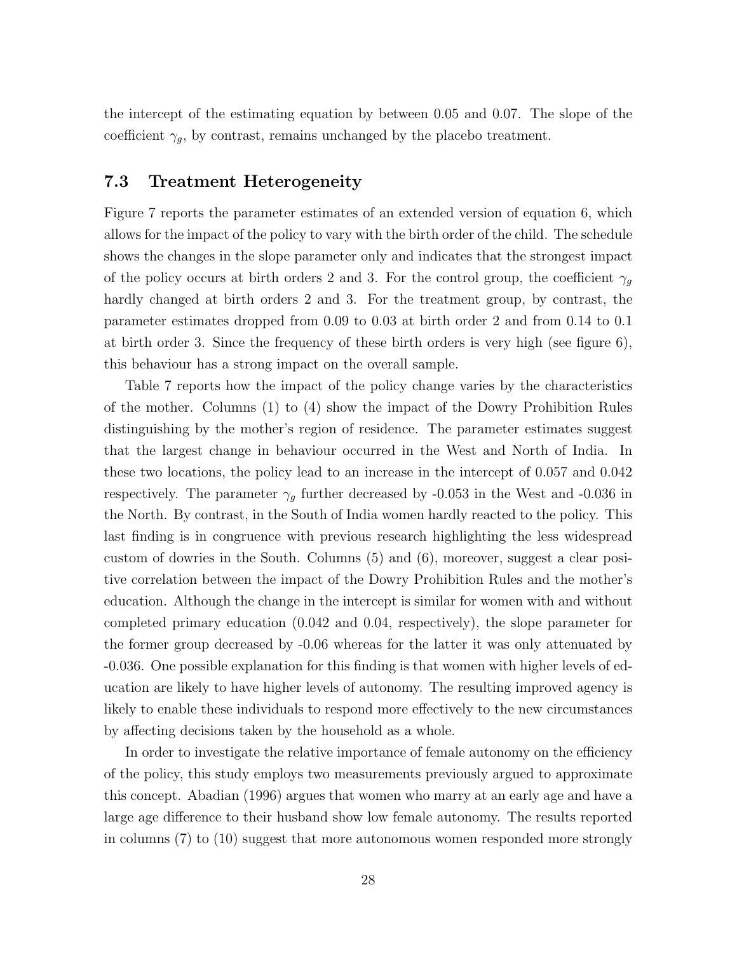the intercept of the estimating equation by between 0.05 and 0.07. The slope of the coefficient  $\gamma_g$ , by contrast, remains unchanged by the placebo treatment.

# 7.3 Treatment Heterogeneity

Figure 7 reports the parameter estimates of an extended version of equation 6, which allows for the impact of the policy to vary with the birth order of the child. The schedule shows the changes in the slope parameter only and indicates that the strongest impact of the policy occurs at birth orders 2 and 3. For the control group, the coefficient  $\gamma_q$ hardly changed at birth orders 2 and 3. For the treatment group, by contrast, the parameter estimates dropped from 0.09 to 0.03 at birth order 2 and from 0.14 to 0.1 at birth order 3. Since the frequency of these birth orders is very high (see figure 6), this behaviour has a strong impact on the overall sample.

Table 7 reports how the impact of the policy change varies by the characteristics of the mother. Columns (1) to (4) show the impact of the Dowry Prohibition Rules distinguishing by the mother's region of residence. The parameter estimates suggest that the largest change in behaviour occurred in the West and North of India. In these two locations, the policy lead to an increase in the intercept of 0.057 and 0.042 respectively. The parameter  $\gamma_g$  further decreased by -0.053 in the West and -0.036 in the North. By contrast, in the South of India women hardly reacted to the policy. This last finding is in congruence with previous research highlighting the less widespread custom of dowries in the South. Columns (5) and (6), moreover, suggest a clear positive correlation between the impact of the Dowry Prohibition Rules and the mother's education. Although the change in the intercept is similar for women with and without completed primary education (0.042 and 0.04, respectively), the slope parameter for the former group decreased by -0.06 whereas for the latter it was only attenuated by -0.036. One possible explanation for this finding is that women with higher levels of education are likely to have higher levels of autonomy. The resulting improved agency is likely to enable these individuals to respond more effectively to the new circumstances by affecting decisions taken by the household as a whole.

In order to investigate the relative importance of female autonomy on the efficiency of the policy, this study employs two measurements previously argued to approximate this concept. Abadian (1996) argues that women who marry at an early age and have a large age difference to their husband show low female autonomy. The results reported in columns (7) to (10) suggest that more autonomous women responded more strongly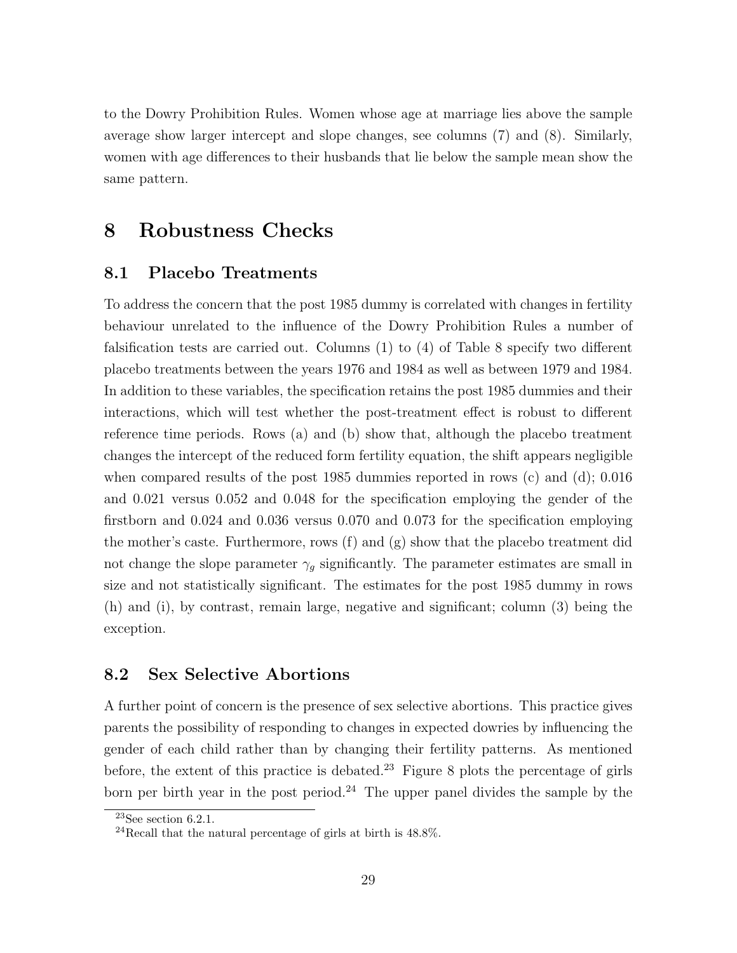to the Dowry Prohibition Rules. Women whose age at marriage lies above the sample average show larger intercept and slope changes, see columns (7) and (8). Similarly, women with age differences to their husbands that lie below the sample mean show the same pattern.

# 8 Robustness Checks

### 8.1 Placebo Treatments

To address the concern that the post 1985 dummy is correlated with changes in fertility behaviour unrelated to the influence of the Dowry Prohibition Rules a number of falsification tests are carried out. Columns  $(1)$  to  $(4)$  of Table 8 specify two different placebo treatments between the years 1976 and 1984 as well as between 1979 and 1984. In addition to these variables, the specification retains the post 1985 dummies and their interactions, which will test whether the post-treatment effect is robust to different reference time periods. Rows (a) and (b) show that, although the placebo treatment changes the intercept of the reduced form fertility equation, the shift appears negligible when compared results of the post 1985 dummies reported in rows (c) and (d); 0.016 and 0.021 versus 0.052 and 0.048 for the specification employing the gender of the firstborn and 0.024 and 0.036 versus 0.070 and 0.073 for the specification employing the mother's caste. Furthermore, rows (f) and (g) show that the placebo treatment did not change the slope parameter  $\gamma_g$  significantly. The parameter estimates are small in size and not statistically significant. The estimates for the post 1985 dummy in rows (h) and (i), by contrast, remain large, negative and significant; column (3) being the exception.

# 8.2 Sex Selective Abortions

A further point of concern is the presence of sex selective abortions. This practice gives parents the possibility of responding to changes in expected dowries by influencing the gender of each child rather than by changing their fertility patterns. As mentioned before, the extent of this practice is debated.<sup>23</sup> Figure 8 plots the percentage of girls born per birth year in the post period.<sup>24</sup> The upper panel divides the sample by the

 $^{23}\mathrm{See}$  section 6.2.1.

 $^{24}$ Recall that the natural percentage of girls at birth is 48.8%.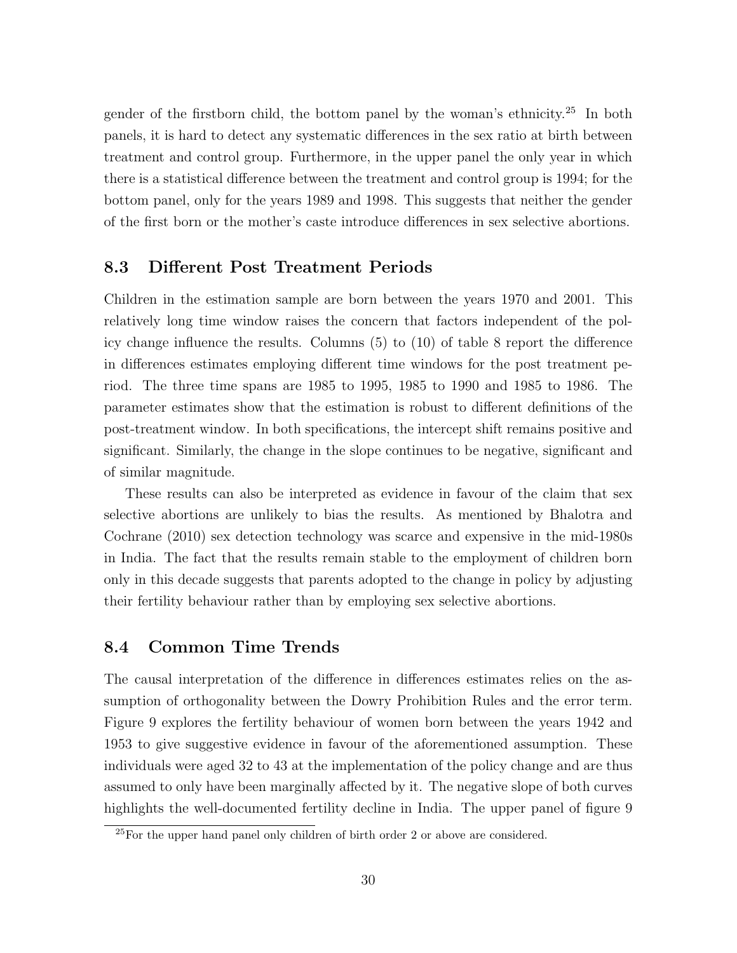gender of the firstborn child, the bottom panel by the woman's ethnicity.<sup>25</sup> In both panels, it is hard to detect any systematic differences in the sex ratio at birth between treatment and control group. Furthermore, in the upper panel the only year in which there is a statistical difference between the treatment and control group is 1994; for the bottom panel, only for the years 1989 and 1998. This suggests that neither the gender of the first born or the mother's caste introduce differences in sex selective abortions.

### 8.3 Different Post Treatment Periods

Children in the estimation sample are born between the years 1970 and 2001. This relatively long time window raises the concern that factors independent of the policy change influence the results. Columns  $(5)$  to  $(10)$  of table 8 report the difference in differences estimates employing different time windows for the post treatment period. The three time spans are 1985 to 1995, 1985 to 1990 and 1985 to 1986. The parameter estimates show that the estimation is robust to different definitions of the post-treatment window. In both specifications, the intercept shift remains positive and significant. Similarly, the change in the slope continues to be negative, significant and of similar magnitude.

These results can also be interpreted as evidence in favour of the claim that sex selective abortions are unlikely to bias the results. As mentioned by Bhalotra and Cochrane (2010) sex detection technology was scarce and expensive in the mid-1980s in India. The fact that the results remain stable to the employment of children born only in this decade suggests that parents adopted to the change in policy by adjusting their fertility behaviour rather than by employing sex selective abortions.

### 8.4 Common Time Trends

The causal interpretation of the difference in differences estimates relies on the assumption of orthogonality between the Dowry Prohibition Rules and the error term. Figure 9 explores the fertility behaviour of women born between the years 1942 and 1953 to give suggestive evidence in favour of the aforementioned assumption. These individuals were aged 32 to 43 at the implementation of the policy change and are thus assumed to only have been marginally affected by it. The negative slope of both curves highlights the well-documented fertility decline in India. The upper panel of figure 9

<sup>25</sup>For the upper hand panel only children of birth order 2 or above are considered.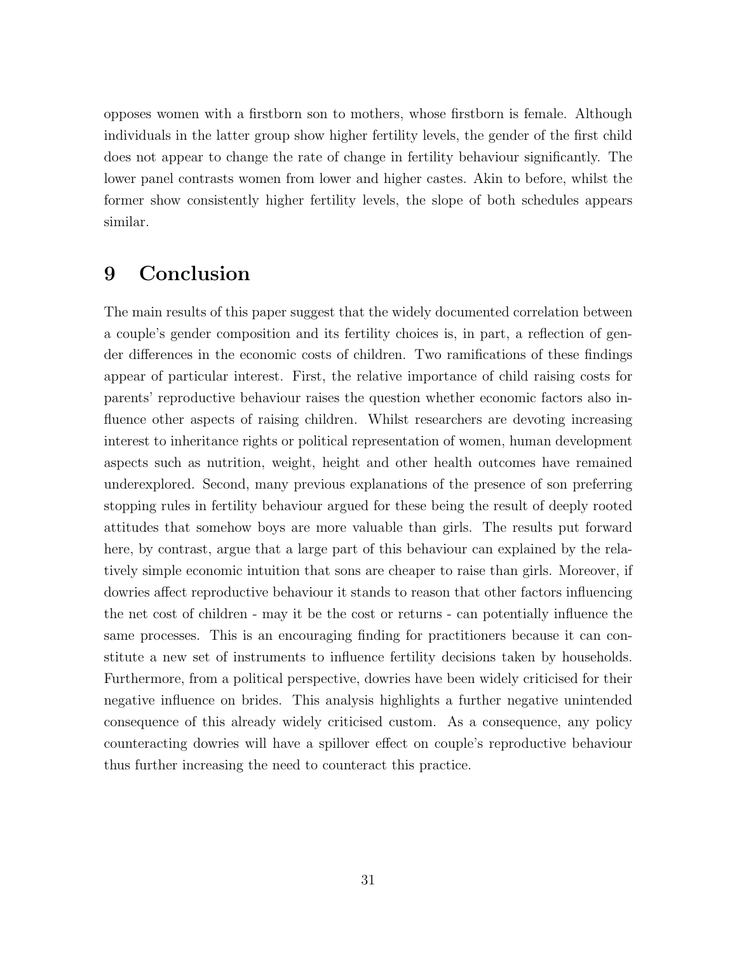opposes women with a firstborn son to mothers, whose firstborn is female. Although individuals in the latter group show higher fertility levels, the gender of the first child does not appear to change the rate of change in fertility behaviour significantly. The lower panel contrasts women from lower and higher castes. Akin to before, whilst the former show consistently higher fertility levels, the slope of both schedules appears similar.

# 9 Conclusion

The main results of this paper suggest that the widely documented correlation between a couple's gender composition and its fertility choices is, in part, a reflection of gender differences in the economic costs of children. Two ramifications of these findings appear of particular interest. First, the relative importance of child raising costs for parents' reproductive behaviour raises the question whether economic factors also influence other aspects of raising children. Whilst researchers are devoting increasing interest to inheritance rights or political representation of women, human development aspects such as nutrition, weight, height and other health outcomes have remained underexplored. Second, many previous explanations of the presence of son preferring stopping rules in fertility behaviour argued for these being the result of deeply rooted attitudes that somehow boys are more valuable than girls. The results put forward here, by contrast, argue that a large part of this behaviour can explained by the relatively simple economic intuition that sons are cheaper to raise than girls. Moreover, if dowries a↵ect reproductive behaviour it stands to reason that other factors influencing the net cost of children - may it be the cost or returns - can potentially influence the same processes. This is an encouraging finding for practitioners because it can constitute a new set of instruments to influence fertility decisions taken by households. Furthermore, from a political perspective, dowries have been widely criticised for their negative influence on brides. This analysis highlights a further negative unintended consequence of this already widely criticised custom. As a consequence, any policy counteracting dowries will have a spillover effect on couple's reproductive behaviour thus further increasing the need to counteract this practice.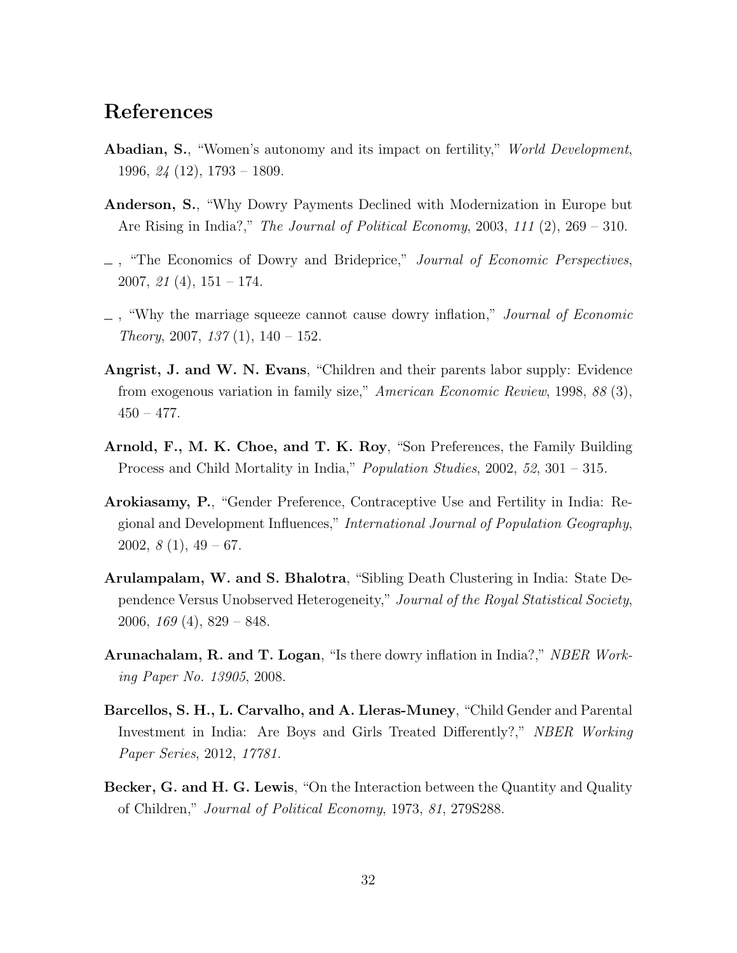# References

- Abadian, S., "Women's autonomy and its impact on fertility," *World Development*, 1996, *24* (12), 1793 – 1809.
- Anderson, S., "Why Dowry Payments Declined with Modernization in Europe but Are Rising in India?," *The Journal of Political Economy*, 2003, *111* (2), 269 – 310.
- , "The Economics of Dowry and Brideprice," *Journal of Economic Perspectives*, 2007, *21* (4), 151 – 174.
- , "Why the marriage squeeze cannot cause dowry inflation," *Journal of Economic Theory*, 2007, *137* (1), 140 – 152.
- Angrist, J. and W. N. Evans, "Children and their parents labor supply: Evidence from exogenous variation in family size," *American Economic Review*, 1998, *88* (3),  $450 - 477.$
- Arnold, F., M. K. Choe, and T. K. Roy, "Son Preferences, the Family Building Process and Child Mortality in India," *Population Studies*, 2002, *52*, 301 – 315.
- Arokiasamy, P., "Gender Preference, Contraceptive Use and Fertility in India: Regional and Development Influences," *International Journal of Population Geography*, 2002, *8* (1), 49 – 67.
- Arulampalam, W. and S. Bhalotra, "Sibling Death Clustering in India: State Dependence Versus Unobserved Heterogeneity," *Journal of the Royal Statistical Society*, 2006, *169* (4), 829 – 848.
- Arunachalam, R. and T. Logan, "Is there dowry inflation in India?," *NBER Working Paper No. 13905*, 2008.
- Barcellos, S. H., L. Carvalho, and A. Lleras-Muney, "Child Gender and Parental Investment in India: Are Boys and Girls Treated Differently?," *NBER Working Paper Series*, 2012, *17781.*
- Becker, G. and H. G. Lewis, "On the Interaction between the Quantity and Quality of Children," *Journal of Political Economy*, 1973, *81*, 279S288.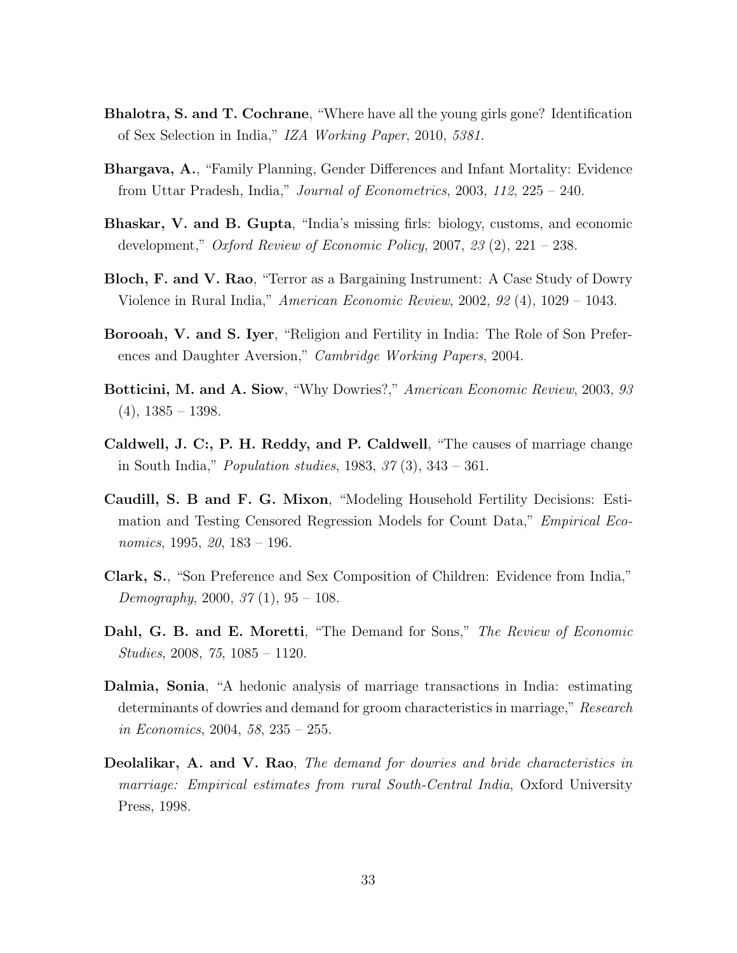- Bhalotra, S. and T. Cochrane, "Where have all the young girls gone? Identification of Sex Selection in India," *IZA Working Paper*, 2010, *5381.*
- Bhargava, A., "Family Planning, Gender Differences and Infant Mortality: Evidence from Uttar Pradesh, India," *Journal of Econometrics*, 2003, *112*, 225 – 240.
- Bhaskar, V. and B. Gupta, "India's missing firls: biology, customs, and economic development," *Oxford Review of Economic Policy*, 2007, *23* (2), 221 – 238.
- Bloch, F. and V. Rao, "Terror as a Bargaining Instrument: A Case Study of Dowry Violence in Rural India," *American Economic Review*, 2002, *92* (4), 1029 – 1043.
- Borooah, V. and S. Iyer, "Religion and Fertility in India: The Role of Son Preferences and Daughter Aversion," *Cambridge Working Papers*, 2004.
- Botticini, M. and A. Siow, "Why Dowries?," *American Economic Review*, 2003, *93*  $(4)$ , 1385 – 1398.
- Caldwell, J. C:, P. H. Reddy, and P. Caldwell, "The causes of marriage change in South India," *Population studies*, 1983, *37* (3), 343 – 361.
- Caudill, S. B and F. G. Mixon, "Modeling Household Fertility Decisions: Estimation and Testing Censored Regression Models for Count Data," *Empirical Economics*, 1995, *20*, 183 – 196.
- Clark, S., "Son Preference and Sex Composition of Children: Evidence from India," *Demography*, 2000, *37* (1), 95 – 108.
- Dahl, G. B. and E. Moretti, "The Demand for Sons," *The Review of Economic Studies*, 2008, *75*, 1085 – 1120.
- Dalmia, Sonia, "A hedonic analysis of marriage transactions in India: estimating determinants of dowries and demand for groom characteristics in marriage," *Research in Economics*, 2004, *58*, 235 – 255.
- Deolalikar, A. and V. Rao, *The demand for dowries and bride characteristics in marriage: Empirical estimates from rural South-Central India*, Oxford University Press, 1998.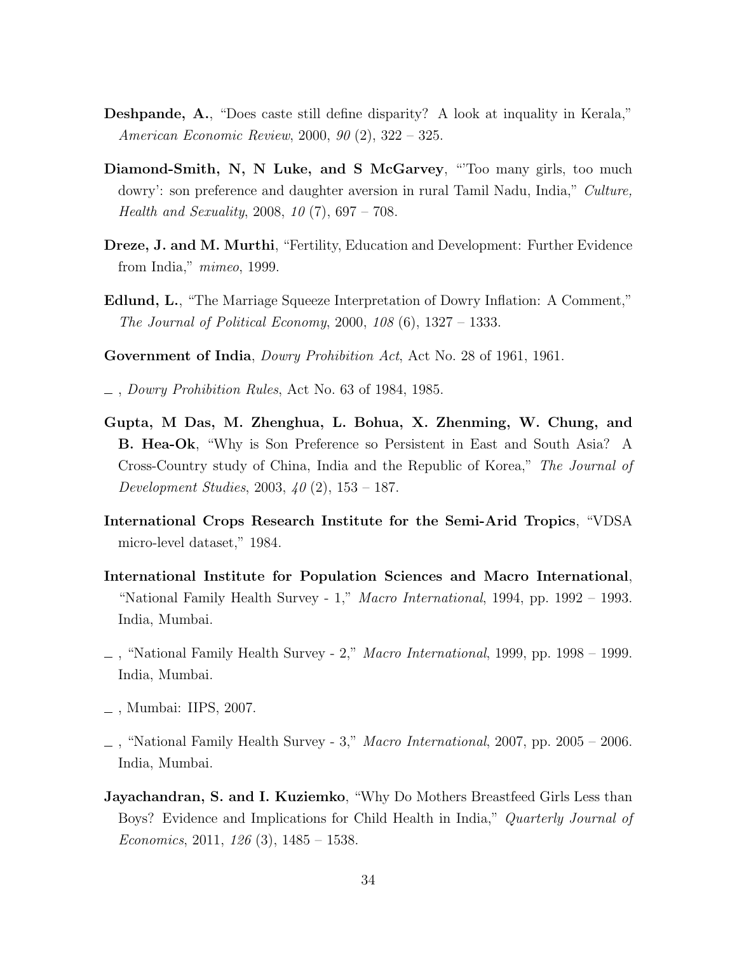- Deshpande, A., "Does caste still define disparity? A look at inquality in Kerala," *American Economic Review*, 2000, *90* (2), 322 – 325.
- Diamond-Smith, N, N Luke, and S McGarvey, "Too many girls, too much dowry': son preference and daughter aversion in rural Tamil Nadu, India," *Culture, Health and Sexuality*, 2008, *10* (7), 697 – 708.
- Dreze, J. and M. Murthi, "Fertility, Education and Development: Further Evidence from India," *mimeo*, 1999.
- Edlund, L., "The Marriage Squeeze Interpretation of Dowry Inflation: A Comment," *The Journal of Political Economy*, 2000, *108* (6), 1327 – 1333.
- Government of India, *Dowry Prohibition Act*, Act No. 28 of 1961, 1961.
- , *Dowry Prohibition Rules*, Act No. 63 of 1984, 1985.
- Gupta, M Das, M. Zhenghua, L. Bohua, X. Zhenming, W. Chung, and B. Hea-Ok, "Why is Son Preference so Persistent in East and South Asia? A Cross-Country study of China, India and the Republic of Korea," *The Journal of Development Studies*, 2003, *40* (2), 153 – 187.
- International Crops Research Institute for the Semi-Arid Tropics, "VDSA micro-level dataset," 1984.
- International Institute for Population Sciences and Macro International, "National Family Health Survey - 1," *Macro International*, 1994, pp. 1992 – 1993. India, Mumbai.
- , "National Family Health Survey 2," *Macro International*, 1999, pp. 1998 1999. India, Mumbai.
- , Mumbai: IIPS, 2007.
- , "National Family Health Survey 3," *Macro International*, 2007, pp. 2005 2006. India, Mumbai.
- **Jayachandran, S. and I. Kuziemko**, "Why Do Mothers Breastfeed Girls Less than Boys? Evidence and Implications for Child Health in India," *Quarterly Journal of Economics*, 2011, *126* (3), 1485 – 1538.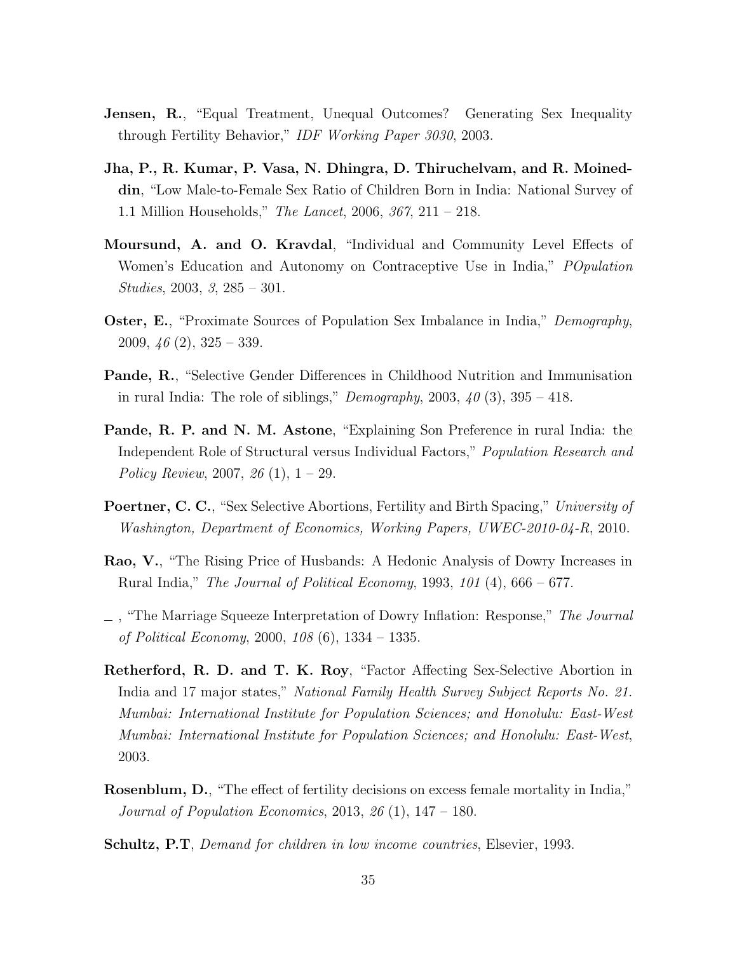- **Jensen, R.,** "Equal Treatment, Unequal Outcomes? Generating Sex Inequality through Fertility Behavior," *IDF Working Paper 3030*, 2003.
- Jha, P., R. Kumar, P. Vasa, N. Dhingra, D. Thiruchelvam, and R. Moineddin, "Low Male-to-Female Sex Ratio of Children Born in India: National Survey of 1.1 Million Households," *The Lancet*, 2006, *367*, 211 – 218.
- Moursund, A. and O. Kravdal, "Individual and Community Level Effects of Women's Education and Autonomy on Contraceptive Use in India," *POpulation Studies*, 2003, *3*, 285 – 301.
- Oster, E., "Proximate Sources of Population Sex Imbalance in India," *Demography*, 2009, *46* (2), 325 – 339.
- Pande, R., "Selective Gender Differences in Childhood Nutrition and Immunisation in rural India: The role of siblings," *Demography*, 2003, *40* (3), 395 – 418.
- Pande, R. P. and N. M. Astone, "Explaining Son Preference in rural India: the Independent Role of Structural versus Individual Factors," *Population Research and Policy Review*, 2007, *26* (1), 1 – 29.
- Poertner, C. C., "Sex Selective Abortions, Fertility and Birth Spacing," *University of Washington, Department of Economics, Working Papers, UWEC-2010-04-R*, 2010.
- Rao, V., "The Rising Price of Husbands: A Hedonic Analysis of Dowry Increases in Rural India," *The Journal of Political Economy*, 1993, *101* (4), 666 – 677.
- , "The Marriage Squeeze Interpretation of Dowry Inflation: Response," *The Journal of Political Economy*, 2000, *108* (6), 1334 – 1335.
- Retherford, R. D. and T. K. Roy, "Factor Affecting Sex-Selective Abortion in India and 17 major states," *National Family Health Survey Subject Reports No. 21. Mumbai: International Institute for Population Sciences; and Honolulu: East-West Mumbai: International Institute for Population Sciences; and Honolulu: East-West*, 2003.
- Rosenblum, D., "The effect of fertility decisions on excess female mortality in India," *Journal of Population Economics*, 2013, *26* (1), 147 – 180.
- Schultz, P.T, *Demand for children in low income countries*, Elsevier, 1993.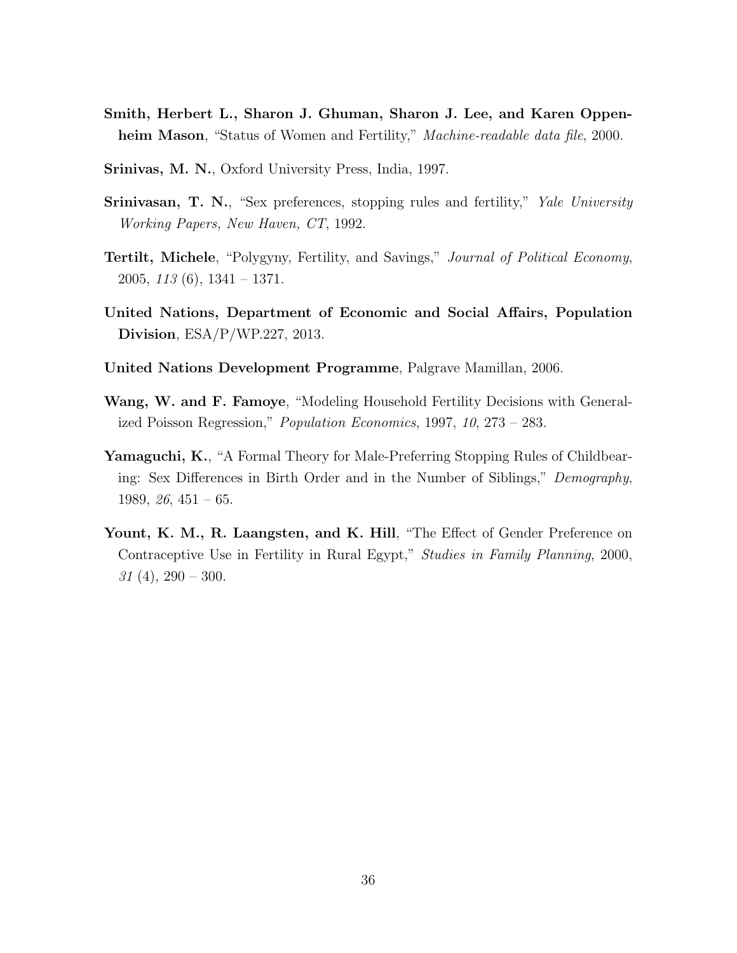- Smith, Herbert L., Sharon J. Ghuman, Sharon J. Lee, and Karen Oppenheim Mason, "Status of Women and Fertility," *Machine-readable data file*, 2000.
- Srinivas, M. N., Oxford University Press, India, 1997.
- Srinivasan, T. N., "Sex preferences, stopping rules and fertility," *Yale University Working Papers, New Haven, CT*, 1992.
- Tertilt, Michele, "Polygyny, Fertility, and Savings," *Journal of Political Economy*, 2005, *113* (6), 1341 – 1371.
- United Nations, Department of Economic and Social Affairs, Population Division, ESA/P/WP.227, 2013.
- United Nations Development Programme, Palgrave Mamillan, 2006.
- Wang, W. and F. Famoye, "Modeling Household Fertility Decisions with Generalized Poisson Regression," *Population Economics*, 1997, *10*, 273 – 283.
- Yamaguchi, K., "A Formal Theory for Male-Preferring Stopping Rules of Childbearing: Sex Differences in Birth Order and in the Number of Siblings," *Demography*, 1989, *26*, 451 – 65.
- Yount, K. M., R. Laangsten, and K. Hill, "The Effect of Gender Preference on Contraceptive Use in Fertility in Rural Egypt," *Studies in Family Planning*, 2000, *31* (4), 290 – 300.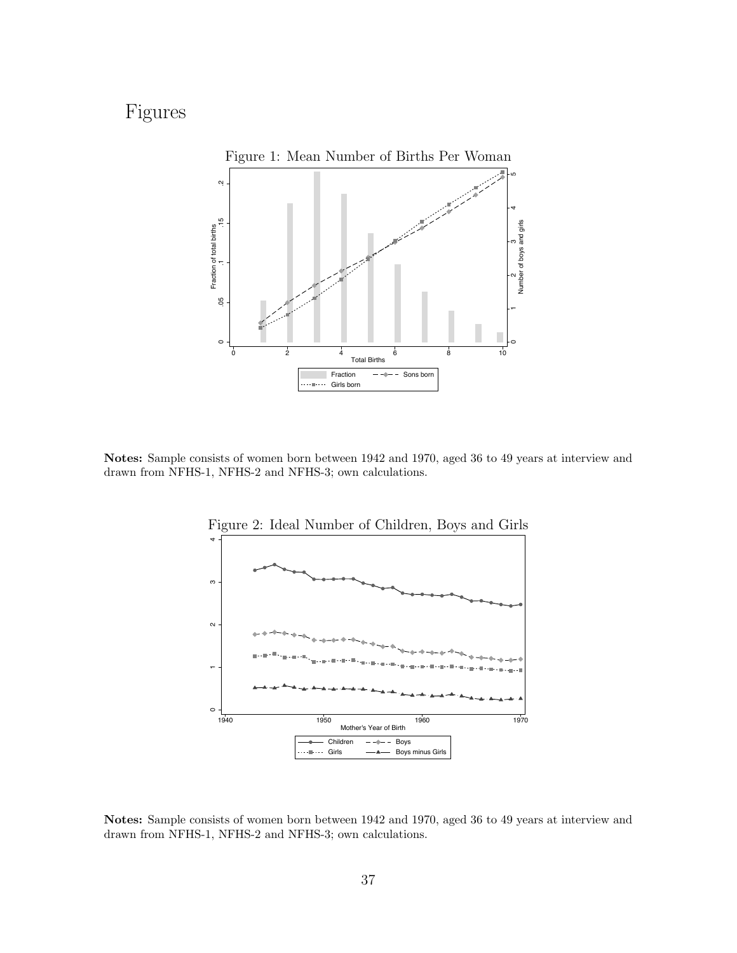# Figures



Notes: Sample consists of women born between 1942 and 1970, aged 36 to 49 years at interview and drawn from NFHS-1, NFHS-2 and NFHS-3; own calculations.



Notes: Sample consists of women born between 1942 and 1970, aged 36 to 49 years at interview and drawn from NFHS-1, NFHS-2 and NFHS-3; own calculations.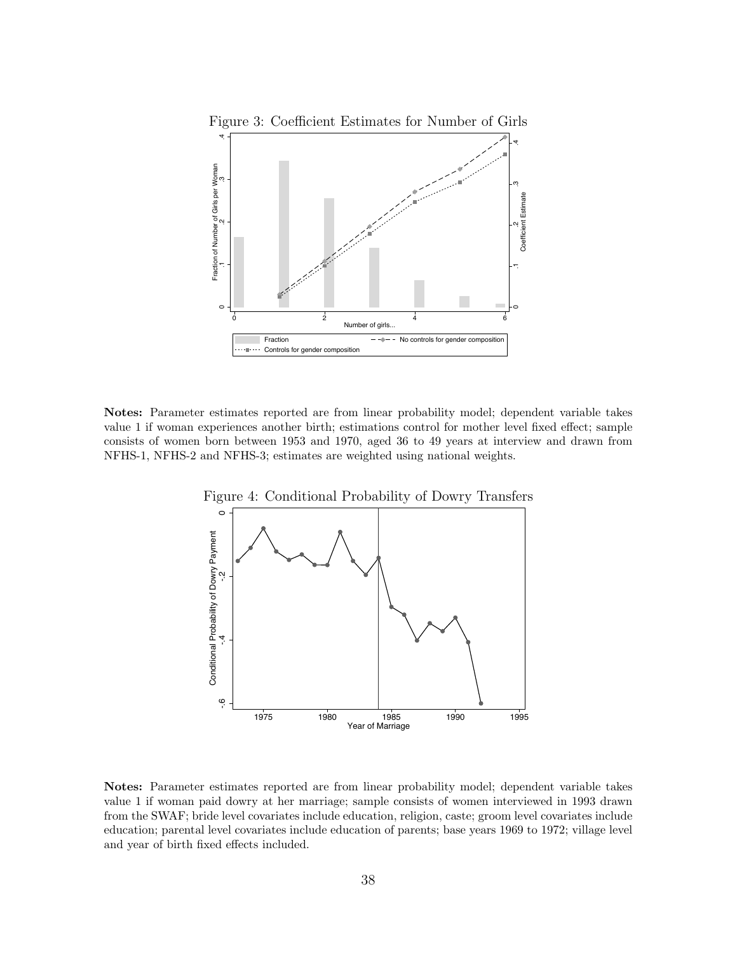

Notes: Parameter estimates reported are from linear probability model; dependent variable takes value 1 if woman experiences another birth; estimations control for mother level fixed effect; sample consists of women born between 1953 and 1970, aged 36 to 49 years at interview and drawn from NFHS-1, NFHS-2 and NFHS-3; estimates are weighted using national weights.



Notes: Parameter estimates reported are from linear probability model; dependent variable takes value 1 if woman paid dowry at her marriage; sample consists of women interviewed in 1993 drawn from the SWAF; bride level covariates include education, religion, caste; groom level covariates include education; parental level covariates include education of parents; base years 1969 to 1972; village level and year of birth fixed effects included.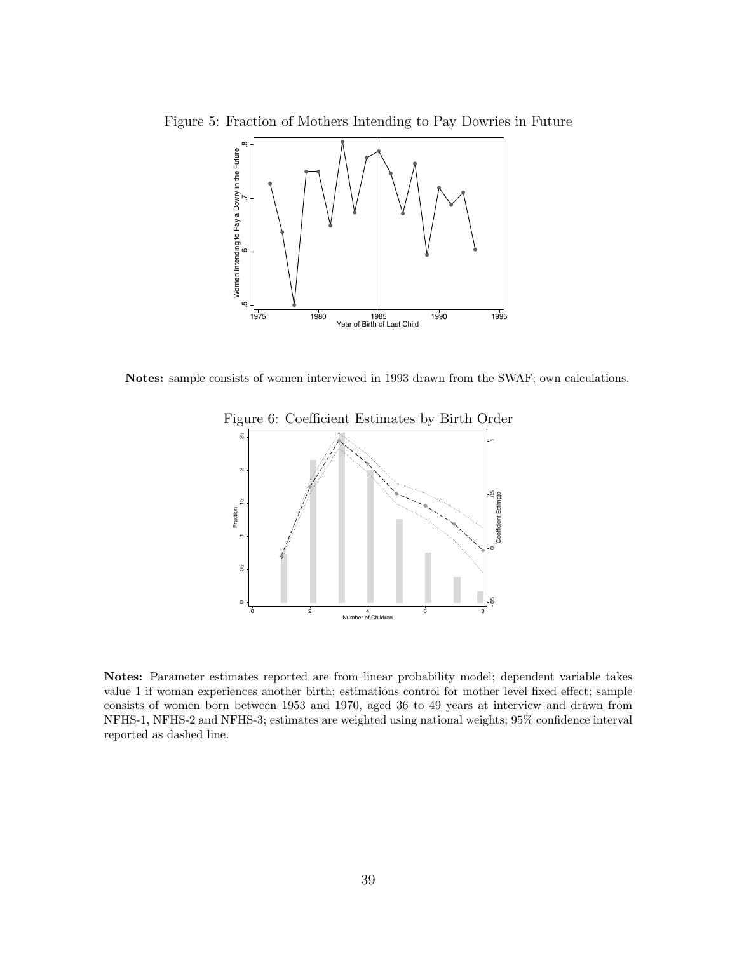Figure 5: Fraction of Mothers Intending to Pay Dowries in Future



Notes: sample consists of women interviewed in 1993 drawn from the SWAF; own calculations.



Notes: Parameter estimates reported are from linear probability model; dependent variable takes value 1 if woman experiences another birth; estimations control for mother level fixed effect; sample consists of women born between 1953 and 1970, aged 36 to 49 years at interview and drawn from NFHS-1, NFHS-2 and NFHS-3; estimates are weighted using national weights; 95% confidence interval reported as dashed line.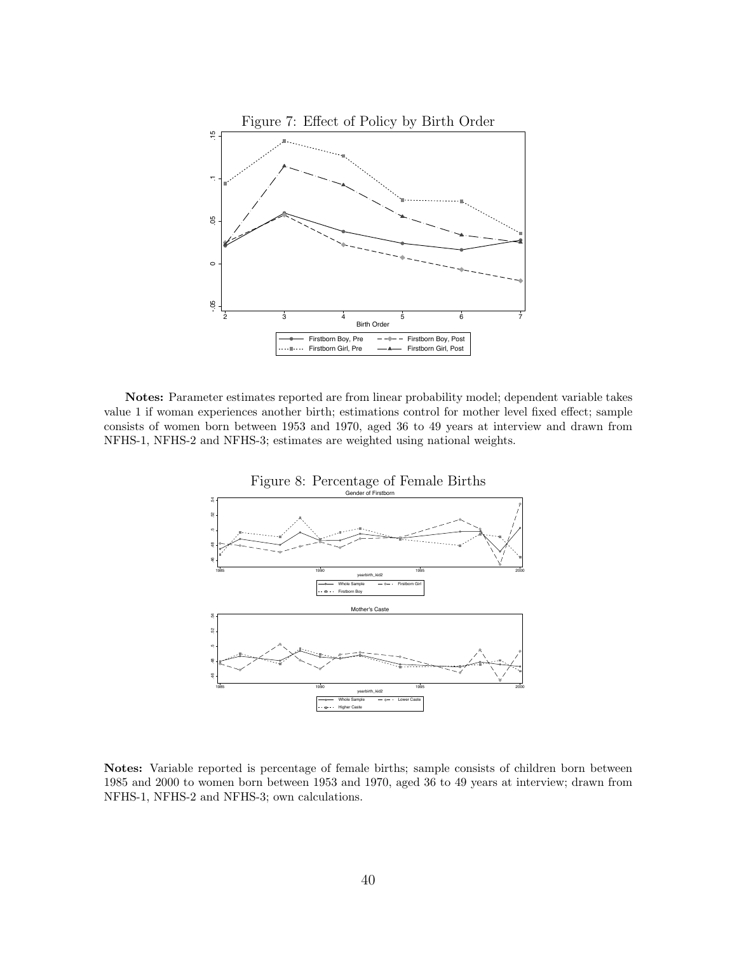

Notes: Parameter estimates reported are from linear probability model; dependent variable takes value 1 if woman experiences another birth; estimations control for mother level fixed effect; sample consists of women born between 1953 and 1970, aged 36 to 49 years at interview and drawn from NFHS-1, NFHS-2 and NFHS-3; estimates are weighted using national weights.



Notes: Variable reported is percentage of female births; sample consists of children born between 1985 and 2000 to women born between 1953 and 1970, aged 36 to 49 years at interview; drawn from NFHS-1, NFHS-2 and NFHS-3; own calculations.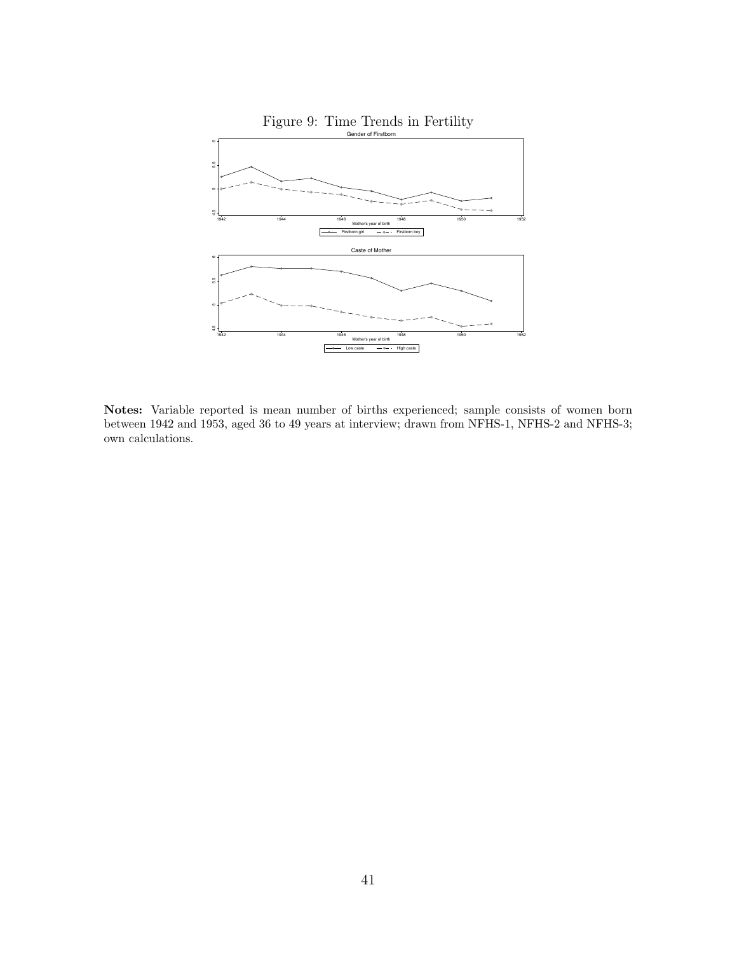

Notes: Variable reported is mean number of births experienced; sample consists of women born between 1942 and 1953, aged 36 to 49 years at interview; drawn from NFHS-1, NFHS-2 and NFHS-3; own calculations.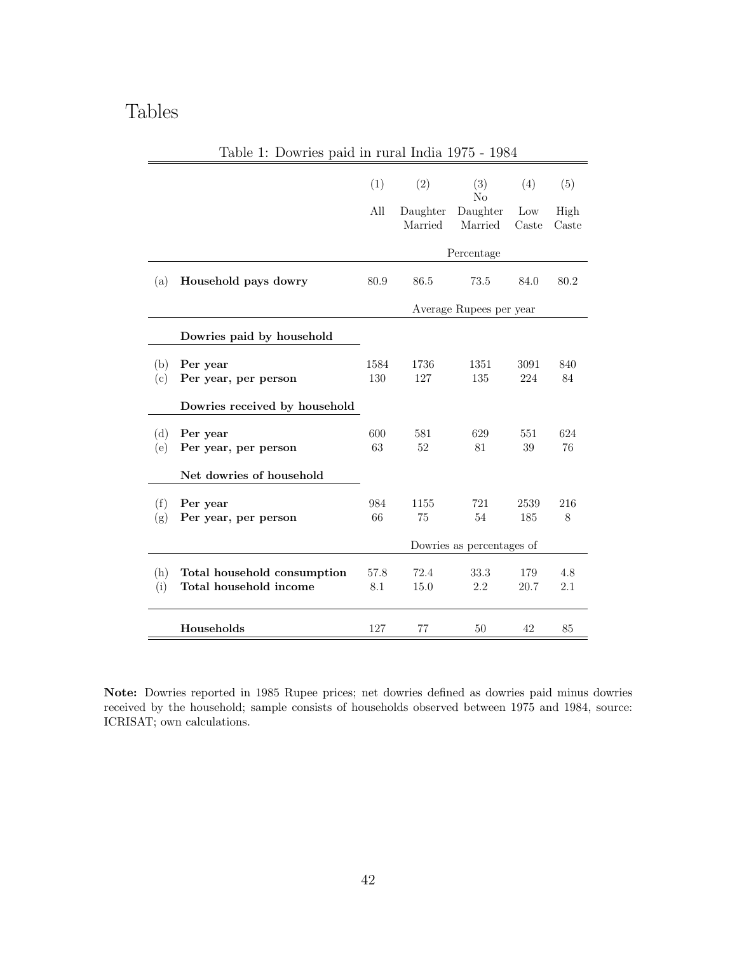# Tables

|            |                                                       | (1)         | (2)                 | (3)<br>No                 | (4)          | (5)           |
|------------|-------------------------------------------------------|-------------|---------------------|---------------------------|--------------|---------------|
|            |                                                       | All         | Daughter<br>Married | Daughter<br>Married       | Low<br>Caste | High<br>Caste |
|            |                                                       |             |                     | Percentage                |              |               |
| (a)        | Household pays dowry                                  | 80.9        | 86.5                | 73.5                      | 84.0         | 80.2          |
|            |                                                       |             |                     | Average Rupees per year   |              |               |
|            | Dowries paid by household                             |             |                     |                           |              |               |
| (b)<br>(c) | Per year<br>Per year, per person                      | 1584<br>130 | 1736<br>127         | 1351<br>135               | 3091<br>224  | 840<br>84     |
|            | Dowries received by household                         |             |                     |                           |              |               |
| (d)<br>(e) | Per year<br>Per year, per person                      | 600<br>63   | 581<br>52           | 629<br>81                 | 551<br>39    | 624<br>76     |
|            | Net dowries of household                              |             |                     |                           |              |               |
| (f)<br>(g) | Per year<br>Per year, per person                      | 984<br>66   | 1155<br>75          | 721<br>54                 | 2539<br>185  | 216<br>8      |
|            |                                                       |             |                     | Dowries as percentages of |              |               |
| (h)<br>(i) | Total household consumption<br>Total household income | 57.8<br>8.1 | 72.4<br>15.0        | 33.3<br>2.2               | 179<br>20.7  | 4.8<br>2.1    |
|            | Households                                            | 127         | 77                  | 50                        | 42           | 85            |

Table 1: Dowries paid in rural India 1975 - 1984

Note: Dowries reported in 1985 Rupee prices; net dowries defined as dowries paid minus dowries received by the household; sample consists of households observed between 1975 and 1984, source: ICRISAT; own calculations.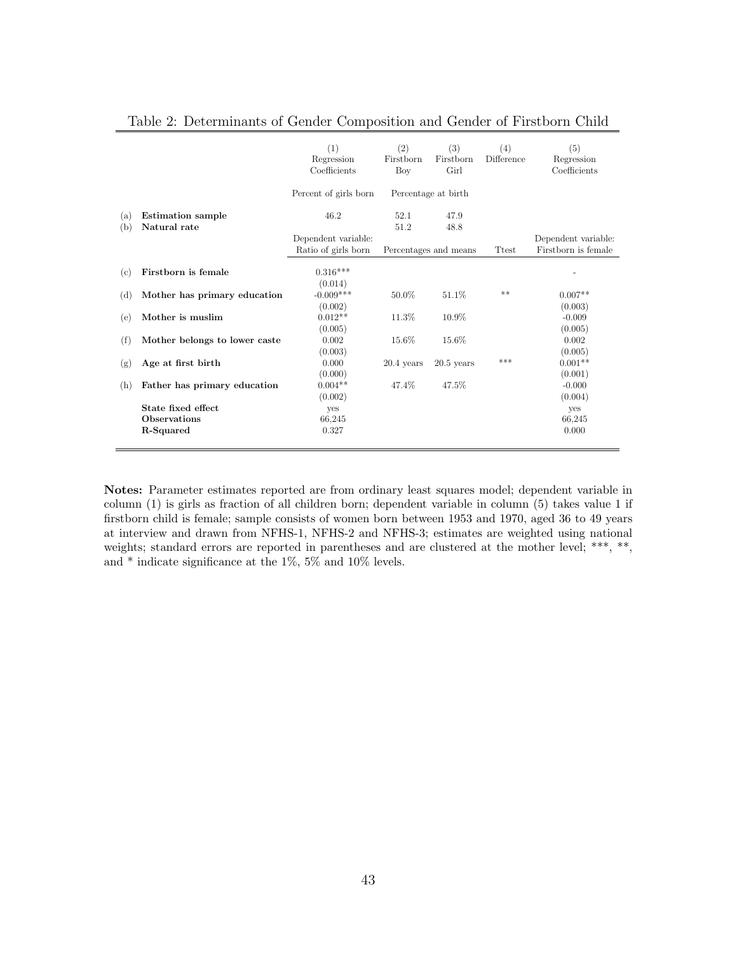|     |                               | (1)                   | (2)          | (3)                   | (4)          | (5)                 |
|-----|-------------------------------|-----------------------|--------------|-----------------------|--------------|---------------------|
|     |                               | Regression            | Firstborn    | Firstborn             | Difference   | Regression          |
|     |                               | Coefficients          | Boy          | Girl                  |              | Coefficients        |
|     |                               | Percent of girls born |              | Percentage at birth   |              |                     |
| (a) | <b>Estimation</b> sample      | 46.2                  | 52.1         | 47.9                  |              |                     |
| (b) | Natural rate                  |                       | 51.2         | 48.8                  |              |                     |
|     |                               | Dependent variable:   |              |                       |              | Dependent variable: |
|     |                               | Ratio of girls born   |              | Percentages and means | <b>Ttest</b> | Firstborn is female |
|     |                               |                       |              |                       |              |                     |
| (c) | Firstborn is female           | $0.316***$            |              |                       |              |                     |
|     |                               | (0.014)               |              |                       |              |                     |
| (d) | Mother has primary education  | $-0.009***$           | $50.0\%$     | 51.1\%                | **           | $0.007**$           |
|     |                               | (0.002)               |              |                       |              | (0.003)             |
| (e) | Mother is muslim              | $0.012**$             | 11.3%        | 10.9%                 |              | $-0.009$            |
|     |                               | (0.005)               |              |                       |              | (0.005)             |
| (f) | Mother belongs to lower caste | 0.002                 | 15.6%        | 15.6%                 |              | 0.002               |
|     |                               | (0.003)               |              |                       |              | (0.005)             |
| (g) | Age at first birth            | 0.000                 | $20.4$ years | $20.5$ years          | ***          | $0.001**$           |
|     |                               | (0.000)               |              |                       |              | (0.001)             |
| (h) | Father has primary education  | $0.004**$             | 47.4%        | 47.5%                 |              | $-0.000$            |
|     |                               | (0.002)               |              |                       |              | (0.004)             |
|     | State fixed effect            | yes                   |              |                       |              | yes                 |
|     | Observations                  | 66,245                |              |                       |              | 66,245              |
|     | R-Squared                     | 0.327                 |              |                       |              | 0.000               |
|     |                               |                       |              |                       |              |                     |

|  | Table 2: Determinants of Gender Composition and Gender of Firstborn Child |  |  |  |  |  |  |  |
|--|---------------------------------------------------------------------------|--|--|--|--|--|--|--|
|--|---------------------------------------------------------------------------|--|--|--|--|--|--|--|

Notes: Parameter estimates reported are from ordinary least squares model; dependent variable in column (1) is girls as fraction of all children born; dependent variable in column (5) takes value 1 if firstborn child is female; sample consists of women born between 1953 and 1970, aged 36 to 49 years at interview and drawn from NFHS-1, NFHS-2 and NFHS-3; estimates are weighted using national weights; standard errors are reported in parentheses and are clustered at the mother level; \*\*\*, \*\*, and  $*$  indicate significance at the 1%, 5% and 10% levels.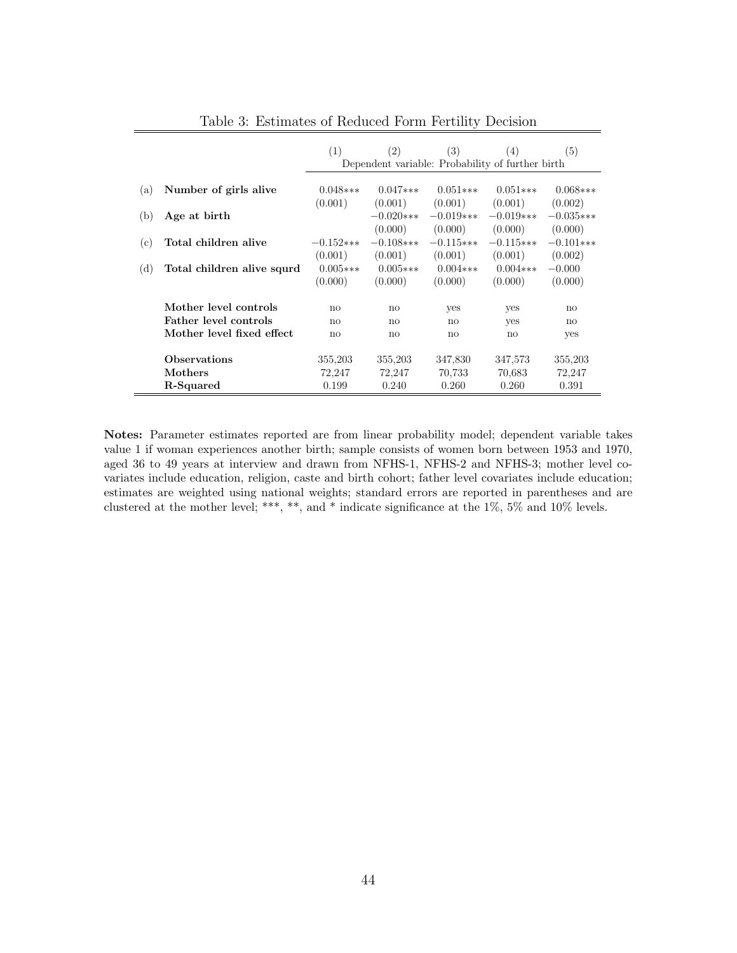|     |                              | (1)                   | (2)                   | (3)                                              | (4)                   | (5)                   |
|-----|------------------------------|-----------------------|-----------------------|--------------------------------------------------|-----------------------|-----------------------|
|     |                              |                       |                       | Dependent variable: Probability of further birth |                       |                       |
| (a) | Number of girls alive        | $0.048***$<br>(0.001) | $0.047***$<br>(0.001) | $0.051***$<br>(0.001)                            | $0.051***$<br>(0.001) | $0.068***$<br>(0.002) |
| (b) | Age at birth                 |                       | $-0.020$ ***          | $-0.019***$                                      | $-0.019***$           | $-0.035***$           |
|     |                              |                       | (0.000)               | (0.000)                                          | (0.000)               | (0.000)               |
| (c) | Total children alive         | $-0.152***$           | $-0.108$ ***          | $-0.115***$                                      | $-0.115***$           | $-0.101***$           |
|     |                              | (0.001)               | (0.001)               | (0.001)                                          | (0.001)               | (0.002)               |
| (d) | Total children alive squrd   | $0.005***$            | $0.005***$            | $0.004***$                                       | $0.004***$            | $-0.000$              |
|     |                              | (0.000)               | (0.000)               | (0.000)                                          | (0.000)               | (0.000)               |
|     | Mother level controls        | no                    | no                    | yes                                              | yes                   | $\mathbf{n}$          |
|     | <b>Father level controls</b> | no                    | no                    | no                                               | yes                   | no                    |
|     | Mother level fixed effect    | no                    | no                    | no                                               | no                    | yes                   |
|     |                              |                       |                       |                                                  |                       |                       |
|     | Observations                 | 355,203               | 355,203               | 347,830                                          | 347,573               | 355,203               |
|     | Mothers                      | 72,247                | 72,247                | 70,733                                           | 70.683                | 72,247                |
|     | R-Squared                    | 0.199                 | 0.240                 | 0.260                                            | 0.260                 | 0.391                 |

Table 3: Estimates of Reduced Form Fertility Decision

Notes: Parameter estimates reported are from linear probability model; dependent variable takes value 1 if woman experiences another birth; sample consists of women born between 1953 and 1970, aged 36 to 49 years at interview and drawn from NFHS-1, NFHS-2 and NFHS-3; mother level covariates include education, religion, caste and birth cohort; father level covariates include education; estimates are weighted using national weights; standard errors are reported in parentheses and are clustered at the mother level; \*\*\*, \*\*, and \* indicate significance at the 1%, 5% and 10% levels.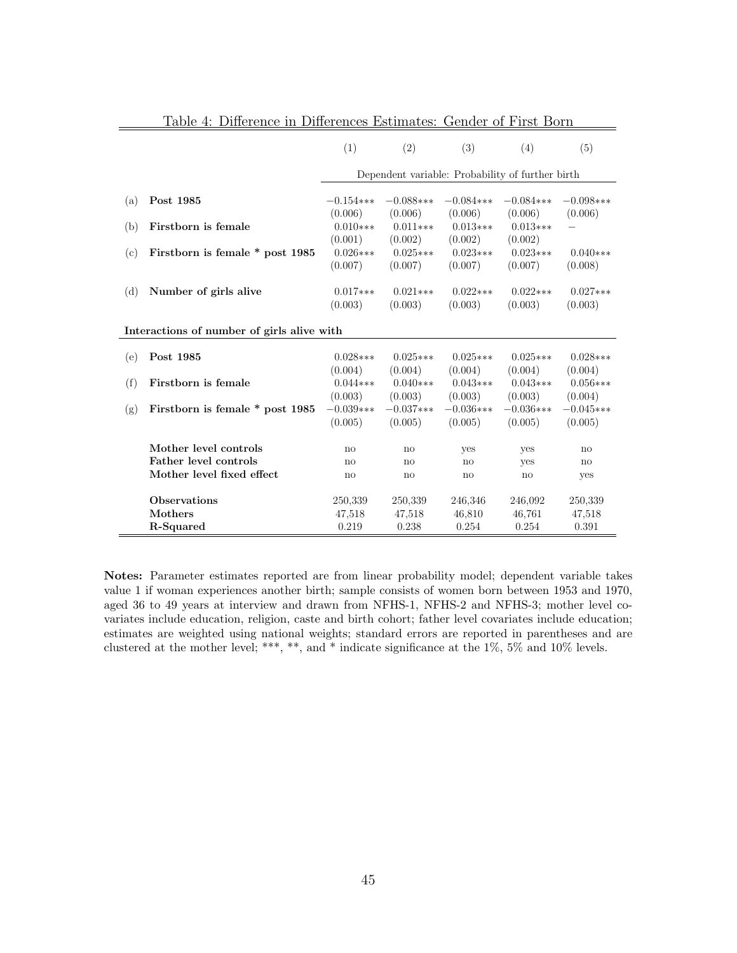|     |                                                    | (1)                              | (2)                    | (3)                                              | (4)                           | (5)                    |
|-----|----------------------------------------------------|----------------------------------|------------------------|--------------------------------------------------|-------------------------------|------------------------|
|     |                                                    |                                  |                        | Dependent variable: Probability of further birth |                               |                        |
| (a) | Post 1985                                          | $-0.154***$                      | $-0.088***$<br>(0.006) | $-0.084***$<br>(0.006)                           | $-0.084$ ***<br>(0.006)       | $-0.098***$            |
| (b) | Firstborn is female                                | (0.006)<br>$0.010***$<br>(0.001) | $0.011***$<br>(0.002)  | $0.013***$<br>(0.002)                            | $0.013***$<br>(0.002)         | (0.006)                |
| (c) | Firstborn is female * post 1985                    | $0.026***$<br>(0.007)            | $0.025***$<br>(0.007)  | $0.023***$<br>(0.007)                            | $0.023***$<br>(0.007)         | $0.040***$<br>(0.008)  |
| (d) | Number of girls alive                              | $0.017***$<br>(0.003)            | $0.021***$<br>(0.003)  | $0.022***$<br>(0.003)                            | $0.022***$<br>(0.003)         | $0.027***$<br>(0.003)  |
|     | Interactions of number of girls alive with         |                                  |                        |                                                  |                               |                        |
| (e) | Post 1985                                          | $0.028***$<br>(0.004)            | $0.025***$<br>(0.004)  | $0.025***$<br>(0.004)                            | $0.025***$<br>(0.004)         | $0.028***$<br>(0.004)  |
| (f) | Firstborn is female                                | $0.044***$<br>(0.003)            | $0.040***$<br>(0.003)  | $0.043***$<br>(0.003)                            | $0.043***$<br>(0.003)         | $0.056***$<br>(0.004)  |
| (g) | Firstborn is female * post 1985                    | $-0.039***$<br>(0.005)           | $-0.037***$<br>(0.005) | $-0.036***$<br>(0.005)                           | $-0.036***$<br>(0.005)        | $-0.045***$<br>(0.005) |
|     | Mother level controls                              | $\mathbf{n}$                     | no                     | yes                                              | yes                           | no                     |
|     | Father level controls<br>Mother level fixed effect | no<br>no                         | no<br>no               | no<br>no                                         | yes<br>$\mathbf{n}\mathbf{o}$ | $\mathbf{n}$<br>yes    |
|     | Observations<br>Mothers                            | 250,339<br>47,518                | 250,339<br>47,518      | 246,346<br>46,810                                | 246,092<br>46,761             | 250,339<br>47,518      |
|     | R-Squared                                          | 0.219                            | 0.238                  | 0.254                                            | 0.254                         | 0.391                  |

Table 4: Difference in Differences Estimates: Gender of First Born

Notes: Parameter estimates reported are from linear probability model; dependent variable takes value 1 if woman experiences another birth; sample consists of women born between 1953 and 1970, aged 36 to 49 years at interview and drawn from NFHS-1, NFHS-2 and NFHS-3; mother level covariates include education, religion, caste and birth cohort; father level covariates include education; estimates are weighted using national weights; standard errors are reported in parentheses and are clustered at the mother level; \*\*\*, \*\*, and \* indicate significance at the 1%, 5% and 10% levels.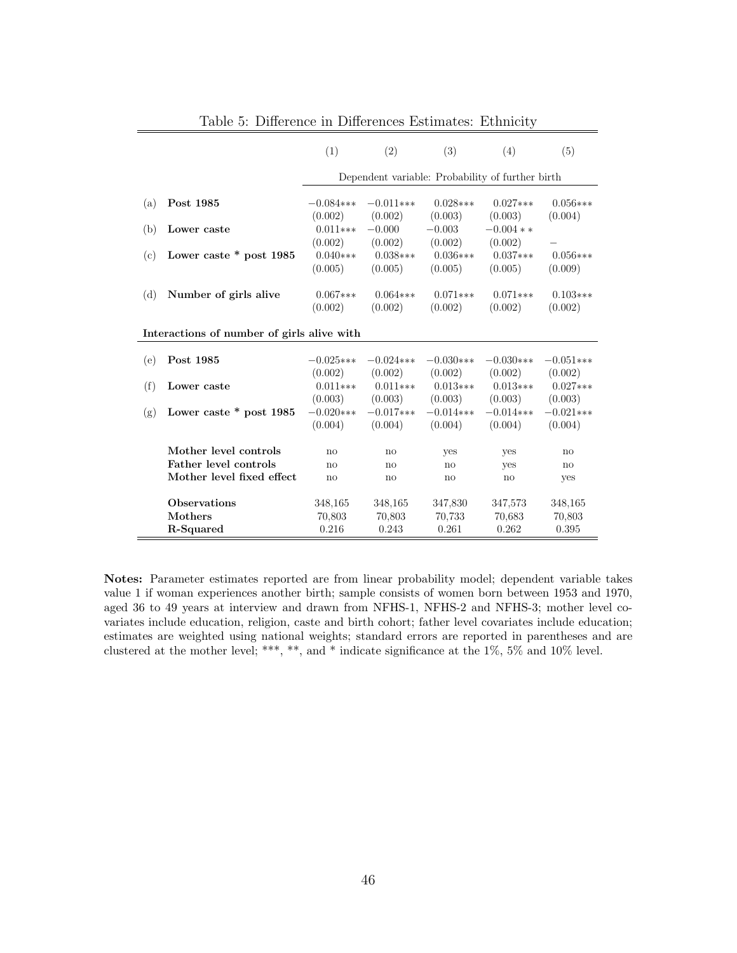|     |                                            | (1)          | (2)          | (3)          | (4)                                              | (5)          |
|-----|--------------------------------------------|--------------|--------------|--------------|--------------------------------------------------|--------------|
|     |                                            |              |              |              | Dependent variable: Probability of further birth |              |
| (a) | Post 1985                                  | $-0.084***$  | $-0.011***$  | $0.028***$   | $0.027***$                                       | $0.056***$   |
|     |                                            | (0.002)      | (0.002)      | (0.003)      | (0.003)                                          | (0.004)      |
| (b) | Lower caste                                | $0.011***$   | $-0.000$     | $-0.003$     | $-0.004**$                                       |              |
|     |                                            | (0.002)      | (0.002)      | (0.002)      | (0.002)                                          |              |
| (c) | Lower caste $*$ post 1985                  | $0.040***$   | $0.038***$   | $0.036***$   | $0.037***$                                       | $0.056***$   |
|     |                                            | (0.005)      | (0.005)      | (0.005)      | (0.005)                                          | (0.009)      |
| (d) | Number of girls alive                      | $0.067***$   | $0.064***$   | $0.071***$   | $0.071***$                                       | $0.103***$   |
|     |                                            | (0.002)      | (0.002)      | (0.002)      | (0.002)                                          | (0.002)      |
|     | Interactions of number of girls alive with |              |              |              |                                                  |              |
|     |                                            |              |              |              |                                                  |              |
| (e) | Post 1985                                  | $-0.025***$  | $-0.024$ *** | $-0.030***$  | $-0.030***$                                      | $-0.051***$  |
|     |                                            | (0.002)      | (0.002)      | (0.002)      | (0.002)                                          | (0.002)      |
| (f) | Lower caste                                | $0.011***$   | $0.011***$   | $0.013***$   | $0.013***$                                       | $0.027***$   |
|     |                                            | (0.003)      | (0.003)      | (0.003)      | (0.003)                                          | (0.003)      |
| (g) | Lower caste $*$ post 1985                  | $-0.020$ *** | $-0.017***$  | $-0.014***$  | $-0.014***$                                      | $-0.021***$  |
|     |                                            | (0.004)      | (0.004)      | (0.004)      | (0.004)                                          | (0.004)      |
|     | Mother level controls                      | no           | no           | yes          | yes                                              | no           |
|     | Father level controls                      | no           | no           | $\mathbf{n}$ | yes                                              | $\mathbf{n}$ |
|     | Mother level fixed effect                  | no           | no           | $\mathbf{n}$ | no                                               | yes          |
|     |                                            |              |              |              |                                                  |              |
|     | <b>Observations</b>                        | 348,165      | 348,165      | 347,830      | 347,573                                          | 348,165      |
|     | Mothers                                    | 70,803       | 70,803       | 70.733       | 70.683                                           | 70,803       |
|     | R-Squared                                  | 0.216        | 0.243        | 0.261        | 0.262                                            | 0.395        |

Table 5: Difference in Differences Estimates: Ethnicity

Notes: Parameter estimates reported are from linear probability model; dependent variable takes value 1 if woman experiences another birth; sample consists of women born between 1953 and 1970, aged 36 to 49 years at interview and drawn from NFHS-1, NFHS-2 and NFHS-3; mother level covariates include education, religion, caste and birth cohort; father level covariates include education; estimates are weighted using national weights; standard errors are reported in parentheses and are clustered at the mother level; \*\*\*, \*\*, and \* indicate significance at the 1%, 5% and 10% level.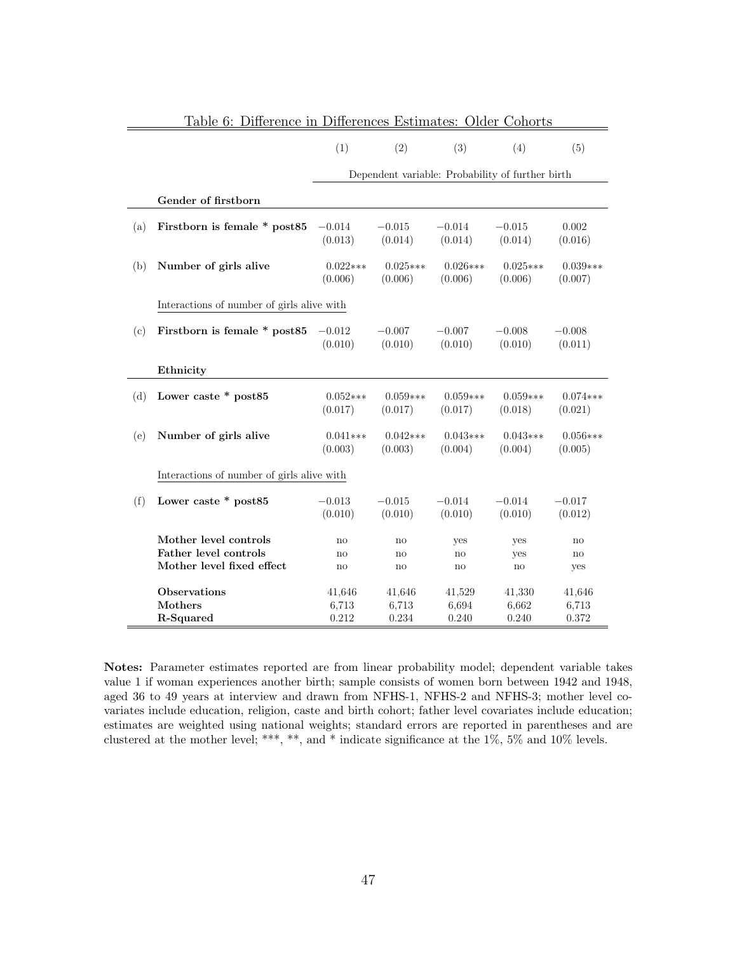|     |                                            | (1)                   | (2)                                              | (3)                   | (4)                    | (5)                   |
|-----|--------------------------------------------|-----------------------|--------------------------------------------------|-----------------------|------------------------|-----------------------|
|     |                                            |                       | Dependent variable: Probability of further birth |                       |                        |                       |
|     | Gender of firstborn                        |                       |                                                  |                       |                        |                       |
|     |                                            |                       |                                                  |                       |                        |                       |
| (a) | Firstborn is female $*$ post85             | $-0.014$<br>(0.013)   | $-0.015$<br>(0.014)                              | $-0.014$<br>(0.014)   | $-0.015$<br>(0.014)    | 0.002<br>(0.016)      |
| (b) | Number of girls alive                      | $0.022***$<br>(0.006) | $0.025***$<br>(0.006)                            | $0.026***$<br>(0.006) | $0.025***$<br>(0.006)  | $0.039***$<br>(0.007) |
|     | Interactions of number of girls alive with |                       |                                                  |                       |                        |                       |
| (c) | Firstborn is female * post85               | $-0.012$<br>(0.010)   | $-0.007$<br>(0.010)                              | $-0.007$<br>(0.010)   | $-0.008$<br>(0.010)    | $-0.008$<br>(0.011)   |
|     | Ethnicity                                  |                       |                                                  |                       |                        |                       |
| (d) | Lower caste * post85                       | $0.052***$<br>(0.017) | $0.059***$<br>(0.017)                            | $0.059***$<br>(0.017) | $0.059***$<br>(0.018)  | $0.074***$<br>(0.021) |
| (e) | Number of girls alive                      | $0.041***$<br>(0.003) | $0.042***$<br>(0.003)                            | $0.043***$<br>(0.004) | $0.043***$<br>(0.004)  | $0.056***$<br>(0.005) |
|     | Interactions of number of girls alive with |                       |                                                  |                       |                        |                       |
| (f) | Lower caste * post85                       | $-0.013$<br>(0.010)   | $-0.015$<br>(0.010)                              | $-0.014$<br>(0.010)   | $-0.014$<br>(0.010)    | $-0.017$<br>(0.012)   |
|     | Mother level controls                      | no                    | $\mathbf{no}$                                    | yes                   | yes                    | no                    |
|     | Father level controls                      | $\mathbf{no}$         | no                                               | no                    | yes                    | $\mathbf{no}$         |
|     | Mother level fixed effect                  | no                    | $\mathop{\mathrm{no}}$                           | no                    | $\mathop{\mathrm{no}}$ | yes                   |
|     | <b>Observations</b>                        | 41,646                | 41,646                                           | 41,529                | 41,330                 | 41,646                |
|     | Mothers                                    | 6,713                 | 6,713                                            | 6,694                 | 6,662                  | 6,713                 |
|     | R-Squared                                  | 0.212                 | 0.234                                            | 0.240                 | 0.240                  | 0.372                 |
|     |                                            |                       |                                                  |                       |                        |                       |

Table 6: Difference in Differences Estimates: Older Cohorts

Notes: Parameter estimates reported are from linear probability model; dependent variable takes value 1 if woman experiences another birth; sample consists of women born between 1942 and 1948, aged 36 to 49 years at interview and drawn from NFHS-1, NFHS-2 and NFHS-3; mother level covariates include education, religion, caste and birth cohort; father level covariates include education; estimates are weighted using national weights; standard errors are reported in parentheses and are clustered at the mother level; \*\*\*, \*\*, and \* indicate significance at the 1%, 5% and 10% levels.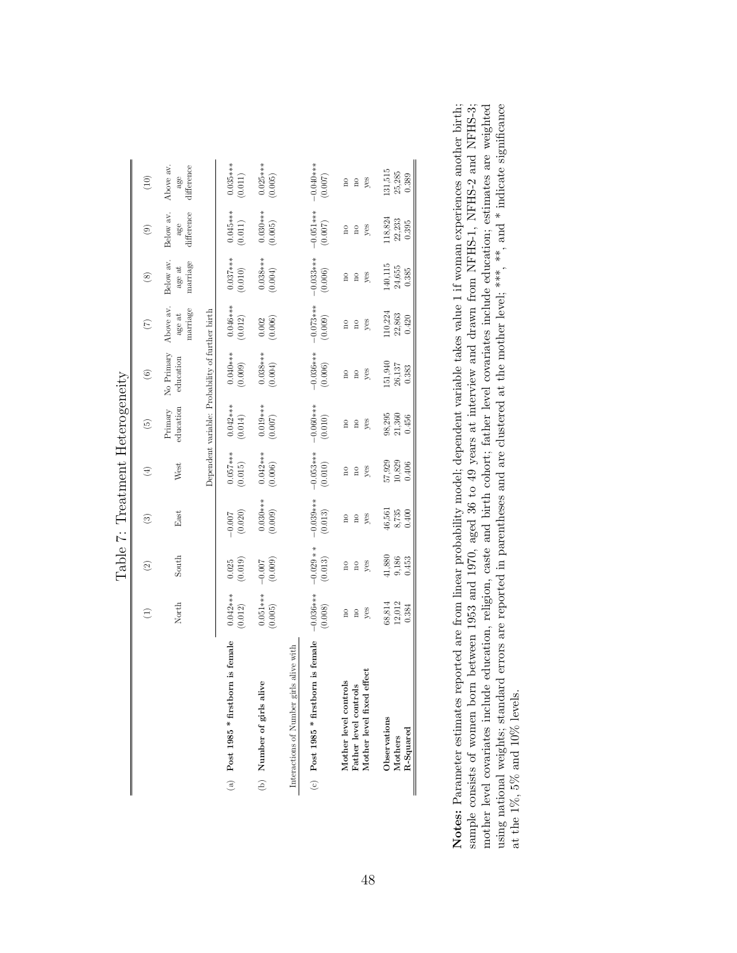|                                            |                         |                         | Table 7: Treatment Heterogeneity |                         |                         |                                                  |                                |                                 |                                |                                |
|--------------------------------------------|-------------------------|-------------------------|----------------------------------|-------------------------|-------------------------|--------------------------------------------------|--------------------------------|---------------------------------|--------------------------------|--------------------------------|
|                                            | $\bigoplus$             | $\widehat{\mathcal{C}}$ | ම                                | E                       | $\widetilde{\omega}$    | $\circledcirc$                                   | $\widehat{C}$                  | $\circledast$                   | $\circledcirc$                 | (10)                           |
|                                            | North                   | South                   | East                             | West                    | education<br>Primary    | No Primary<br>education                          | Above av<br>marriage<br>age at | marriage<br>Below av.<br>age at | Below av.<br>difference<br>age | Above av.<br>difference<br>age |
|                                            |                         |                         |                                  |                         |                         | Dependent variable: Probability of further birth |                                |                                 |                                |                                |
| is female                                  | $0.042***$              | (0.019)                 | (0.020)                          | $0.057***$              | $0.042***$              | $0.040***$                                       | $0.046***$                     | $0.037***$                      | $0.045***$                     | $0.035***$                     |
| (a) Post 1985 * firstborn                  | (0.012)                 | 0.025                   | $-0.007$                         | (0.015)                 | (0.014)                 | (0.009)                                          | (0.012)                        | (0.010)                         | $(0.011)$                      | (0.011)                        |
| (b) Number of girls alive                  | $0.051***$              | (0.009)                 | $0.030***$                       | $0.042***$              | $0.019***$              | $0.038***$                                       | (0.006)                        | $0.038***$                      | $0.030***$                     | $0.025***$                     |
|                                            | (0.005)                 | $-0.007$                | (0.009)                          | (0.006)                 | (0.007)                 | (0.004)                                          | 0.002                          | (0.004)                         | (0.005)                        | (0.005)                        |
| alive with<br>Interactions of Number girls |                         |                         |                                  |                         |                         |                                                  |                                |                                 |                                |                                |
| is female                                  | $-0.036***$             | $-0.029**$              | $-0.039***$                      | $-0.053***$             | $-0.060***$             | $-0.036***$                                      | $-0.073***$                    | $-0.033***$                     | $-0.051***$                    | $-0.040***$                    |
| (c) Post 1985 * firstborn                  | (0.008)                 | (0.013)                 | (0.013)                          | (0.010)                 | (0.010)                 | (0.006)                                          | (0.009)                        | (0.006)                         | (0.007)                        | (0.007)                        |
| Mother level fixed effect                  | yes                     | yes                     | yes                              | yes                     | yes                     | yes                                              | yes                            | yes                             | yes                            | yes                            |
| Mother level controls                      | $\frac{1}{2}$           | $\overline{\mathbf{n}}$ | $\overline{\mathbf{n}}$          | $\overline{\mathbf{a}}$ | $\overline{\mathbf{n}}$ | $\overline{\mathbf{n}}$                          | $\frac{1}{2}$                  | $\overline{\mathbf{n}}$         | $\overline{\mathbf{n}}$        | $\overline{\mathbf{n}}$        |
| Father level controls                      | $\overline{\mathbf{a}}$ | $\overline{\mathbf{n}}$ | $\overline{\mathbf{n}}$          | $\overline{\mathbf{n}}$ | $\overline{\mathbf{n}}$ | $\overline{\mathbf{n}}$                          | $\frac{1}{2}$                  | $\overline{\mathbf{n}}$         | $\overline{\mathbf{n}}$        | $\overline{\mathbf{n}}$        |
| Observations                               | 12,012                  | 41,880                  | 46,561                           | 57,929                  | 98,295                  | 151,940                                          | 110,224                        | 140,115                         | 118,824                        | 131,515                        |
| $R-Squared$                                | 68,814                  | 9,186                   | 8,735                            | 10,829                  | 21,360                  | 26,137                                           | 22,863                         | $24,\!655$                      | 22,233                         | 25,285                         |
| Mothers                                    | 0.384                   | 0.453                   | 0.400                            | 0.406                   | 0.456                   | 0.383                                            | 0.420                          | 0.385                           | 0.395                          | 0.389                          |

Notes: Parameter estimates reported are from linear probability model; dependent variable takes value 1 if woman experiences another birth; using national weights; standard errors are reported in parentheses and are clustered at the mother level; \*\*\*, \*\*, and \* indicate significance sample consists of women born between 1953 and 1970, aged 36 to 49 years at interview and drawn from NFHS-1, NFHS-2 and NFHS-3; mother level covariates include education, religion, caste and birth cohort; father level covariates include education; estimates are weighted mother level covariates include education, religion, caste and birth cohort; father level covariates include education; estimates are weighted using national weights; standard errors are reported in parentheses and are clustered at the mother level; \*\*\*, \*\*, and \* indicate significance Notes: Parameter estimates reported are from linear probability model; dependent variable takes value 1 if woman experiences another birth; sample consists of women born between 1953 and 1970, aged 36 to 49 years at interview and drawn from NFHS-1, NFHS-2 and NFHS-3; at the 1%, 5% and 10% levels. at the 1%, 5% and 10% levels.